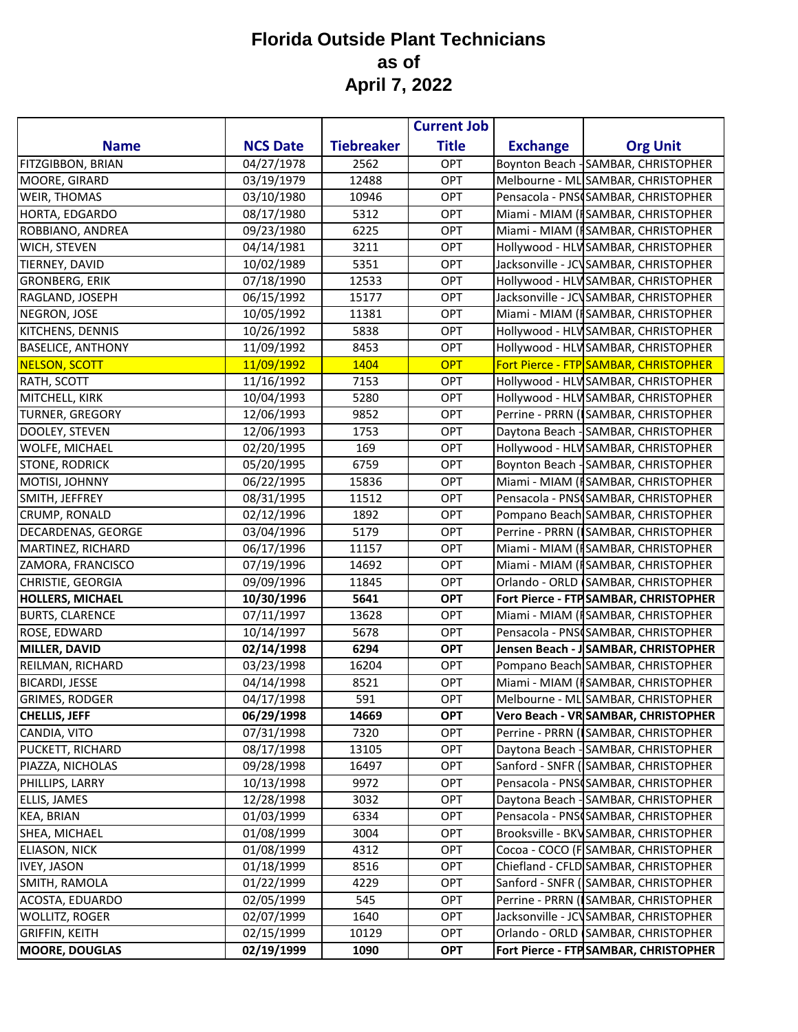|                          |                 |                   | <b>Current Job</b> |                 |                                       |
|--------------------------|-----------------|-------------------|--------------------|-----------------|---------------------------------------|
| <b>Name</b>              | <b>NCS Date</b> | <b>Tiebreaker</b> | <b>Title</b>       | <b>Exchange</b> | <b>Org Unit</b>                       |
| FITZGIBBON, BRIAN        | 04/27/1978      | 2562              | <b>OPT</b>         |                 | Boynton Beach - SAMBAR, CHRISTOPHER   |
| MOORE, GIRARD            | 03/19/1979      | 12488             | OPT                |                 | Melbourne - ML SAMBAR, CHRISTOPHER    |
| WEIR, THOMAS             | 03/10/1980      | 10946             | <b>OPT</b>         |                 | Pensacola - PNSCSAMBAR, CHRISTOPHER   |
| HORTA, EDGARDO           | 08/17/1980      | 5312              | <b>OPT</b>         |                 | Miami - MIAM (ISAMBAR, CHRISTOPHER    |
| ROBBIANO, ANDREA         | 09/23/1980      | 6225              | <b>OPT</b>         |                 | Miami - MIAM (ISAMBAR, CHRISTOPHER    |
| WICH, STEVEN             | 04/14/1981      | 3211              | <b>OPT</b>         |                 | Hollywood - HLV SAMBAR, CHRISTOPHER   |
| TIERNEY, DAVID           | 10/02/1989      | 5351              | <b>OPT</b>         |                 | Jacksonville - JCVSAMBAR, CHRISTOPHER |
| <b>GRONBERG, ERIK</b>    | 07/18/1990      | 12533             | <b>OPT</b>         |                 | Hollywood - HLV SAMBAR, CHRISTOPHER   |
| RAGLAND, JOSEPH          | 06/15/1992      | 15177             | OPT                |                 | Jacksonville - JCVSAMBAR, CHRISTOPHER |
| NEGRON, JOSE             | 10/05/1992      | 11381             | <b>OPT</b>         |                 | Miami - MIAM (ISAMBAR, CHRISTOPHER    |
| KITCHENS, DENNIS         | 10/26/1992      | 5838              | <b>OPT</b>         |                 | Hollywood - HLV SAMBAR, CHRISTOPHER   |
| <b>BASELICE, ANTHONY</b> | 11/09/1992      | 8453              | <b>OPT</b>         |                 | Hollywood - HLV SAMBAR, CHRISTOPHER   |
| <b>NELSON, SCOTT</b>     | 11/09/1992      | 1404              | <b>OPT</b>         |                 | Fort Pierce - FTP SAMBAR, CHRISTOPHER |
| RATH, SCOTT              | 11/16/1992      | 7153              | <b>OPT</b>         |                 | Hollywood - HLV SAMBAR, CHRISTOPHER   |
| MITCHELL, KIRK           | 10/04/1993      | 5280              | <b>OPT</b>         |                 | Hollywood - HLV SAMBAR, CHRISTOPHER   |
| TURNER, GREGORY          | 12/06/1993      | 9852              | OPT                |                 | Perrine - PRRN (ISAMBAR, CHRISTOPHER  |
| DOOLEY, STEVEN           | 12/06/1993      | 1753              | <b>OPT</b>         |                 | Daytona Beach - SAMBAR, CHRISTOPHER   |
| <b>WOLFE, MICHAEL</b>    | 02/20/1995      | 169               | <b>OPT</b>         |                 | Hollywood - HLV SAMBAR, CHRISTOPHER   |
| <b>STONE, RODRICK</b>    | 05/20/1995      | 6759              | <b>OPT</b>         |                 | Boynton Beach - SAMBAR, CHRISTOPHER   |
| MOTISI, JOHNNY           | 06/22/1995      | 15836             | OPT                |                 | Miami - MIAM (ISAMBAR, CHRISTOPHER    |
| SMITH, JEFFREY           | 08/31/1995      | 11512             | <b>OPT</b>         |                 | Pensacola - PNS SAMBAR, CHRISTOPHER   |
| CRUMP, RONALD            | 02/12/1996      | 1892              | <b>OPT</b>         |                 | Pompano Beach SAMBAR, CHRISTOPHER     |
| DECARDENAS, GEORGE       | 03/04/1996      | 5179              | OPT                |                 | Perrine - PRRN (ISAMBAR, CHRISTOPHER  |
| MARTINEZ, RICHARD        | 06/17/1996      | 11157             | <b>OPT</b>         |                 | Miami - MIAM (ISAMBAR, CHRISTOPHER    |
| ZAMORA, FRANCISCO        | 07/19/1996      | 14692             | <b>OPT</b>         |                 | Miami - MIAM (ISAMBAR, CHRISTOPHER    |
| CHRISTIE, GEORGIA        | 09/09/1996      | 11845             | <b>OPT</b>         |                 | Orlando - ORLD SAMBAR, CHRISTOPHER    |
| HOLLERS, MICHAEL         | 10/30/1996      | 5641              | <b>OPT</b>         |                 | Fort Pierce - FTP SAMBAR, CHRISTOPHER |
| <b>BURTS, CLARENCE</b>   | 07/11/1997      | 13628             | <b>OPT</b>         |                 | Miami - MIAM (ISAMBAR, CHRISTOPHER    |
| ROSE, EDWARD             | 10/14/1997      | 5678              | <b>OPT</b>         |                 | Pensacola - PNS SAMBAR, CHRISTOPHER   |
| MILLER, DAVID            | 02/14/1998      | 6294              | <b>OPT</b>         |                 | Jensen Beach - J SAMBAR, CHRISTOPHER  |
| REILMAN, RICHARD         | 03/23/1998      | 16204             | <b>OPT</b>         |                 | Pompano Beach SAMBAR, CHRISTOPHER     |
| <b>BICARDI, JESSE</b>    | 04/14/1998      | 8521              | OPT                |                 | Miami - MIAM (ISAMBAR, CHRISTOPHER    |
| <b>GRIMES, RODGER</b>    | 04/17/1998      | 591               | <b>OPT</b>         |                 | Melbourne - ML SAMBAR, CHRISTOPHER    |
| <b>CHELLIS, JEFF</b>     | 06/29/1998      | 14669             | <b>OPT</b>         |                 | Vero Beach - VR SAMBAR, CHRISTOPHER   |
| CANDIA, VITO             | 07/31/1998      | 7320              | <b>OPT</b>         |                 | Perrine - PRRN (ISAMBAR, CHRISTOPHER  |
| PUCKETT, RICHARD         | 08/17/1998      | 13105             | <b>OPT</b>         |                 | Daytona Beach - SAMBAR, CHRISTOPHER   |
| PIAZZA, NICHOLAS         | 09/28/1998      | 16497             | <b>OPT</b>         |                 | Sanford - SNFR (SAMBAR, CHRISTOPHER   |
| PHILLIPS, LARRY          | 10/13/1998      | 9972              | OPT                |                 | Pensacola - PNSISAMBAR, CHRISTOPHER   |
| ELLIS, JAMES             | 12/28/1998      | 3032              | <b>OPT</b>         |                 | Daytona Beach - SAMBAR, CHRISTOPHER   |
| KEA, BRIAN               | 01/03/1999      | 6334              | <b>OPT</b>         |                 | Pensacola - PNSISAMBAR, CHRISTOPHER   |
| SHEA, MICHAEL            | 01/08/1999      | 3004              | <b>OPT</b>         |                 | Brooksville - BKVSAMBAR, CHRISTOPHER  |
| <b>ELIASON, NICK</b>     | 01/08/1999      | 4312              | <b>OPT</b>         |                 | Cocoa - COCO (F SAMBAR, CHRISTOPHER   |
| <b>IVEY, JASON</b>       | 01/18/1999      | 8516              | <b>OPT</b>         |                 | Chiefland - CFLD SAMBAR, CHRISTOPHER  |
| SMITH, RAMOLA            | 01/22/1999      | 4229              | OPT                |                 | Sanford - SNFR (SAMBAR, CHRISTOPHER   |
| ACOSTA, EDUARDO          | 02/05/1999      | 545               | OPT                |                 | Perrine - PRRN (ISAMBAR, CHRISTOPHER  |
| WOLLITZ, ROGER           | 02/07/1999      | 1640              | <b>OPT</b>         |                 | Jacksonville - JCVSAMBAR, CHRISTOPHER |
| <b>GRIFFIN, KEITH</b>    | 02/15/1999      | 10129             | <b>OPT</b>         |                 | Orlando - ORLD SAMBAR, CHRISTOPHER    |
| <b>MOORE, DOUGLAS</b>    | 02/19/1999      | 1090              | <b>OPT</b>         |                 | Fort Pierce - FTP SAMBAR, CHRISTOPHER |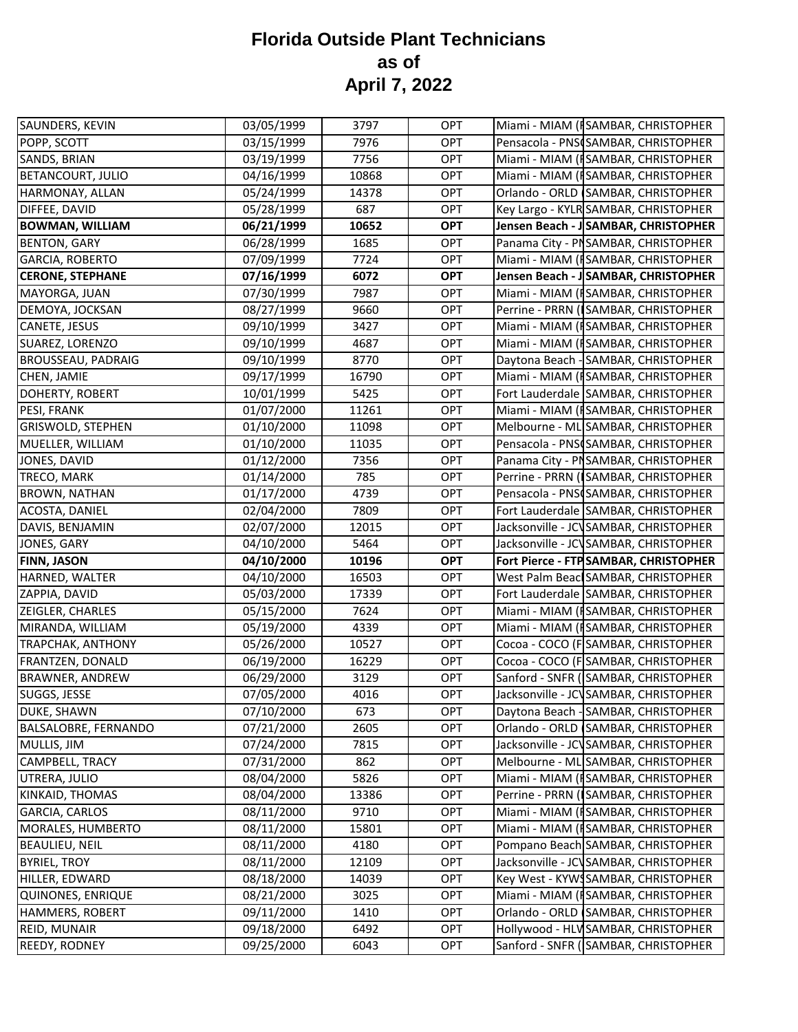| SAUNDERS, KEVIN                      | 03/05/1999               | 3797         | <b>OPT</b> | Miami - MIAM (ISAMBAR, CHRISTOPHER                                         |
|--------------------------------------|--------------------------|--------------|------------|----------------------------------------------------------------------------|
| POPP, SCOTT                          | 03/15/1999               | 7976         | <b>OPT</b> | Pensacola - PNSCSAMBAR, CHRISTOPHER                                        |
| SANDS, BRIAN                         | 03/19/1999               | 7756         | <b>OPT</b> | Miami - MIAM (ISAMBAR, CHRISTOPHER                                         |
| <b>BETANCOURT, JULIO</b>             | 04/16/1999               | 10868        | OPT        | Miami - MIAM (ISAMBAR, CHRISTOPHER                                         |
| HARMONAY, ALLAN                      | 05/24/1999               | 14378        | <b>OPT</b> | Orlando - ORLD SAMBAR, CHRISTOPHER                                         |
| DIFFEE, DAVID                        | 05/28/1999               | 687          | <b>OPT</b> | Key Largo - KYLR SAMBAR, CHRISTOPHER                                       |
| <b>BOWMAN, WILLIAM</b>               | 06/21/1999               | 10652        | <b>OPT</b> | Jensen Beach - J SAMBAR, CHRISTOPHER                                       |
| <b>BENTON, GARY</b>                  | 06/28/1999               | 1685         | <b>OPT</b> | Panama City - PNSAMBAR, CHRISTOPHER                                        |
| <b>GARCIA, ROBERTO</b>               | 07/09/1999               | 7724         | <b>OPT</b> | Miami - MIAM (ISAMBAR, CHRISTOPHER                                         |
| <b>CERONE, STEPHANE</b>              | 07/16/1999               | 6072         | <b>OPT</b> | Jensen Beach - J SAMBAR, CHRISTOPHER                                       |
| MAYORGA, JUAN                        | 07/30/1999               | 7987         | <b>OPT</b> | Miami - MIAM (ISAMBAR, CHRISTOPHER                                         |
| DEMOYA, JOCKSAN                      | 08/27/1999               | 9660         | <b>OPT</b> | Perrine - PRRN (SAMBAR, CHRISTOPHER                                        |
| CANETE, JESUS                        | 09/10/1999               | 3427         | <b>OPT</b> | Miami - MIAM (ISAMBAR, CHRISTOPHER                                         |
| SUAREZ, LORENZO                      | 09/10/1999               | 4687         | <b>OPT</b> | Miami - MIAM (ISAMBAR, CHRISTOPHER                                         |
| <b>BROUSSEAU, PADRAIG</b>            | 09/10/1999               | 8770         | OPT        | Daytona Beach - SAMBAR, CHRISTOPHER                                        |
| CHEN, JAMIE                          | 09/17/1999               | 16790        | <b>OPT</b> | Miami - MIAM (ISAMBAR, CHRISTOPHER                                         |
| DOHERTY, ROBERT                      | 10/01/1999               | 5425         | <b>OPT</b> | Fort Lauderdale SAMBAR, CHRISTOPHER                                        |
| PESI, FRANK                          | 01/07/2000               | 11261        | <b>OPT</b> | Miami - MIAM (ISAMBAR, CHRISTOPHER                                         |
| <b>GRISWOLD, STEPHEN</b>             | 01/10/2000               | 11098        | OPT        | Melbourne - ML SAMBAR, CHRISTOPHER                                         |
| MUELLER, WILLIAM                     | 01/10/2000               | 11035        | OPT        | Pensacola - PNSCSAMBAR, CHRISTOPHER                                        |
| JONES, DAVID                         | 01/12/2000               | 7356         | OPT        | Panama City - PISAMBAR, CHRISTOPHER                                        |
| TRECO, MARK                          | 01/14/2000               | 785          | OPT        | Perrine - PRRN (ISAMBAR, CHRISTOPHER                                       |
| <b>BROWN, NATHAN</b>                 | 01/17/2000               | 4739         | <b>OPT</b> | Pensacola - PNS SAMBAR, CHRISTOPHER                                        |
| ACOSTA, DANIEL                       | 02/04/2000               | 7809         | <b>OPT</b> | Fort Lauderdale SAMBAR, CHRISTOPHER                                        |
| DAVIS, BENJAMIN                      | 02/07/2000               | 12015        | <b>OPT</b> | Jacksonville - JCVSAMBAR, CHRISTOPHER                                      |
|                                      |                          |              |            |                                                                            |
| JONES, GARY                          | 04/10/2000               | 5464         | <b>OPT</b> | Jacksonville - JCVSAMBAR, CHRISTOPHER                                      |
| <b>FINN, JASON</b>                   | 04/10/2000               | 10196        | <b>OPT</b> | Fort Pierce - FTP SAMBAR, CHRISTOPHER                                      |
| HARNED, WALTER                       | 04/10/2000               | 16503        | <b>OPT</b> | West Palm Beacl SAMBAR, CHRISTOPHER                                        |
| ZAPPIA, DAVID                        | 05/03/2000               | 17339        | OPT        | Fort Lauderdale SAMBAR, CHRISTOPHER                                        |
| ZEIGLER, CHARLES                     | 05/15/2000               | 7624         | <b>OPT</b> | Miami - MIAM (ISAMBAR, CHRISTOPHER                                         |
| MIRANDA, WILLIAM                     | 05/19/2000               | 4339         | <b>OPT</b> | Miami - MIAM (ISAMBAR, CHRISTOPHER                                         |
| <b>TRAPCHAK, ANTHONY</b>             | 05/26/2000               | 10527        | OPT        | Cocoa - COCO (F SAMBAR, CHRISTOPHER                                        |
| FRANTZEN, DONALD                     | 06/19/2000               | 16229        | <b>OPT</b> | Cocoa - COCO (FSAMBAR, CHRISTOPHER                                         |
| <b>BRAWNER, ANDREW</b>               | 06/29/2000               | 3129         | <b>OPT</b> | Sanford - SNFR (SAMBAR, CHRISTOPHER                                        |
| SUGGS, JESSE                         | 07/05/2000               | 4016         | OPT        | Jacksonville - JCV SAMBAR, CHRISTOPHER                                     |
| DUKE, SHAWN                          | 07/10/2000               | 673          | <b>OPT</b> | Daytona Beach - SAMBAR, CHRISTOPHER                                        |
| <b>BALSALOBRE, FERNANDO</b>          | 07/21/2000               | 2605         | <b>OPT</b> | Orlando - ORLD (SAMBAR, CHRISTOPHER                                        |
| MULLIS, JIM                          | 07/24/2000               | 7815         | OPT        | Jacksonville - JCVSAMBAR, CHRISTOPHER                                      |
| CAMPBELL, TRACY                      | 07/31/2000               | 862          | <b>OPT</b> | Melbourne - ML SAMBAR, CHRISTOPHER                                         |
| UTRERA, JULIO                        | 08/04/2000               | 5826         | <b>OPT</b> | Miami - MIAM (ISAMBAR, CHRISTOPHER                                         |
| KINKAID, THOMAS                      | 08/04/2000               | 13386        | <b>OPT</b> | Perrine - PRRN (SAMBAR, CHRISTOPHER                                        |
| <b>GARCIA, CARLOS</b>                | 08/11/2000               | 9710         | OPT        | Miami - MIAM (ISAMBAR, CHRISTOPHER                                         |
| MORALES, HUMBERTO                    | 08/11/2000               | 15801        | <b>OPT</b> | Miami - MIAM (ISAMBAR, CHRISTOPHER                                         |
| <b>BEAULIEU, NEIL</b>                | 08/11/2000               | 4180         | <b>OPT</b> | Pompano Beach SAMBAR, CHRISTOPHER                                          |
| <b>BYRIEL, TROY</b>                  | 08/11/2000               | 12109        | <b>OPT</b> | Jacksonville - JCVSAMBAR, CHRISTOPHER                                      |
| HILLER, EDWARD                       | 08/18/2000               | 14039        | <b>OPT</b> | Key West - KYWSSAMBAR, CHRISTOPHER                                         |
| <b>QUINONES, ENRIQUE</b>             | 08/21/2000               | 3025         | OPT        | Miami - MIAM (ISAMBAR, CHRISTOPHER                                         |
| <b>HAMMERS, ROBERT</b>               | 09/11/2000               | 1410         | <b>OPT</b> | Orlando - ORLD SAMBAR, CHRISTOPHER                                         |
| REID, MUNAIR<br><b>REEDY, RODNEY</b> | 09/18/2000<br>09/25/2000 | 6492<br>6043 | OPT<br>OPT | Hollywood - HLV SAMBAR, CHRISTOPHER<br>Sanford - SNFR (SAMBAR, CHRISTOPHER |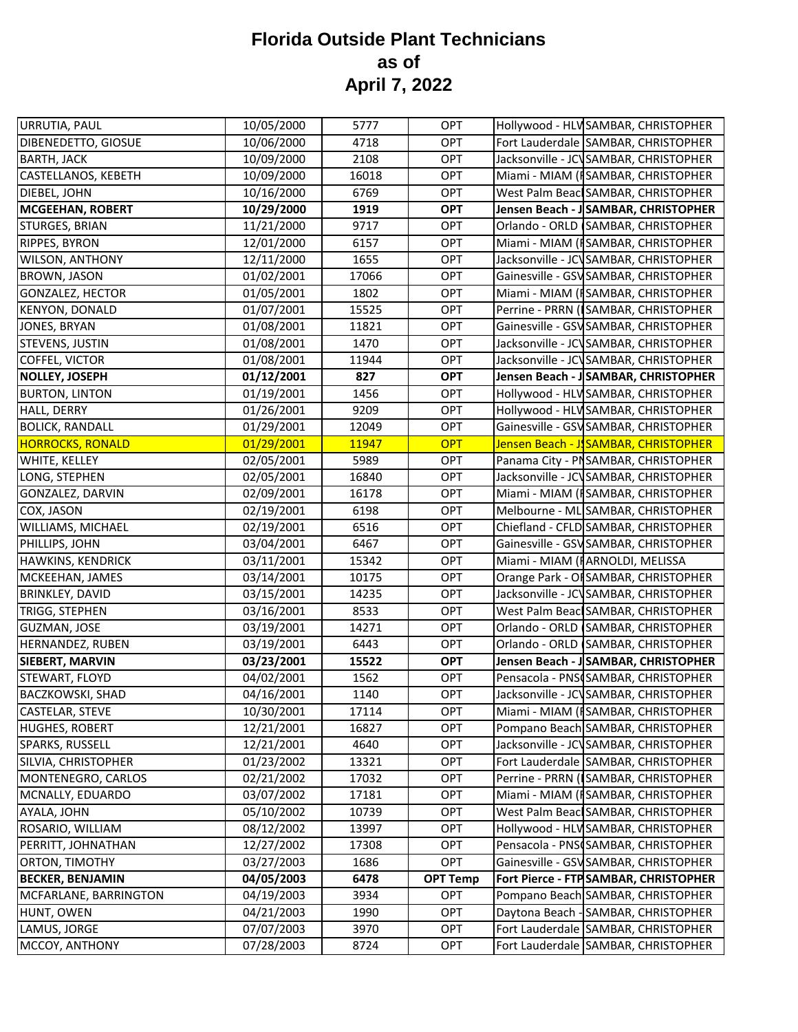| URRUTIA, PAUL           | 10/05/2000 | 5777  | <b>OPT</b>      | Hollywood - HLV SAMBAR, CHRISTOPHER    |
|-------------------------|------------|-------|-----------------|----------------------------------------|
| DIBENEDETTO, GIOSUE     | 10/06/2000 | 4718  | OPT             | Fort Lauderdale SAMBAR, CHRISTOPHER    |
| <b>BARTH, JACK</b>      | 10/09/2000 | 2108  | OPT             | Jacksonville - JCVSAMBAR, CHRISTOPHER  |
| CASTELLANOS, KEBETH     | 10/09/2000 | 16018 | OPT             | Miami - MIAM (ISAMBAR, CHRISTOPHER     |
| DIEBEL, JOHN            | 10/16/2000 | 6769  | OPT             | West Palm Beacl SAMBAR, CHRISTOPHER    |
| <b>MCGEEHAN, ROBERT</b> | 10/29/2000 | 1919  | <b>OPT</b>      | Jensen Beach - J SAMBAR, CHRISTOPHER   |
| STURGES, BRIAN          | 11/21/2000 | 9717  | OPT             | Orlando - ORLD SAMBAR, CHRISTOPHER     |
| RIPPES, BYRON           | 12/01/2000 | 6157  | OPT             | Miami - MIAM (ISAMBAR, CHRISTOPHER     |
| <b>WILSON, ANTHONY</b>  | 12/11/2000 | 1655  | OPT             | Jacksonville - JCVSAMBAR, CHRISTOPHER  |
| <b>BROWN, JASON</b>     | 01/02/2001 | 17066 | <b>OPT</b>      | Gainesville - GSV SAMBAR, CHRISTOPHER  |
| <b>GONZALEZ, HECTOR</b> | 01/05/2001 | 1802  | OPT             | Miami - MIAM (ISAMBAR, CHRISTOPHER     |
| <b>KENYON, DONALD</b>   | 01/07/2001 | 15525 | OPT             | Perrine - PRRN (SAMBAR, CHRISTOPHER    |
| <b>JONES, BRYAN</b>     | 01/08/2001 | 11821 | OPT             | Gainesville - GSV SAMBAR, CHRISTOPHER  |
| STEVENS, JUSTIN         | 01/08/2001 | 1470  | OPT             | Jacksonville - JCVSAMBAR, CHRISTOPHER  |
| <b>COFFEL, VICTOR</b>   | 01/08/2001 | 11944 | OPT             | Jacksonville - JCVSAMBAR, CHRISTOPHER  |
| <b>NOLLEY, JOSEPH</b>   | 01/12/2001 | 827   | <b>OPT</b>      | Jensen Beach - J SAMBAR, CHRISTOPHER   |
| <b>BURTON, LINTON</b>   | 01/19/2001 | 1456  | <b>OPT</b>      | Hollywood - HLV SAMBAR, CHRISTOPHER    |
| HALL, DERRY             | 01/26/2001 | 9209  | OPT             | Hollywood - HLV SAMBAR, CHRISTOPHER    |
| <b>BOLICK, RANDALL</b>  | 01/29/2001 | 12049 | OPT             | Gainesville - GSV SAMBAR, CHRISTOPHER  |
| <b>HORROCKS, RONALD</b> | 01/29/2001 | 11947 | <b>OPT</b>      | Jensen Beach - J SAMBAR, CHRISTOPHER   |
| WHITE, KELLEY           | 02/05/2001 | 5989  | <b>OPT</b>      | Panama City - PNSAMBAR, CHRISTOPHER    |
| LONG, STEPHEN           | 02/05/2001 | 16840 | OPT             | Jacksonville - JCVSAMBAR, CHRISTOPHER  |
| GONZALEZ, DARVIN        | 02/09/2001 | 16178 | OPT             | Miami - MIAM (ISAMBAR, CHRISTOPHER     |
| COX, JASON              | 02/19/2001 | 6198  | <b>OPT</b>      | Melbourne - ML SAMBAR, CHRISTOPHER     |
| WILLIAMS, MICHAEL       | 02/19/2001 | 6516  | OPT             | Chiefland - CFLD SAMBAR, CHRISTOPHER   |
| PHILLIPS, JOHN          | 03/04/2001 | 6467  | OPT             | Gainesville - GSV SAMBAR, CHRISTOPHER  |
| HAWKINS, KENDRICK       | 03/11/2001 | 15342 | OPT             | Miami - MIAM (IARNOLDI, MELISSA        |
| MCKEEHAN, JAMES         | 03/14/2001 | 10175 | OPT             | Orange Park - OF SAMBAR, CHRISTOPHER   |
| <b>BRINKLEY, DAVID</b>  | 03/15/2001 | 14235 | OPT             | Jacksonville - JCV SAMBAR, CHRISTOPHER |
| TRIGG, STEPHEN          | 03/16/2001 | 8533  | OPT             | West Palm Beac SAMBAR, CHRISTOPHER     |
| GUZMAN, JOSE            | 03/19/2001 | 14271 | <b>OPT</b>      | Orlando - ORLD SAMBAR, CHRISTOPHER     |
| HERNANDEZ, RUBEN        | 03/19/2001 | 6443  | OPT             | Orlando - ORLD SAMBAR, CHRISTOPHER     |
| <b>SIEBERT, MARVIN</b>  | 03/23/2001 | 15522 | <b>OPT</b>      | Jensen Beach - J SAMBAR, CHRISTOPHER   |
| STEWART, FLOYD          | 04/02/2001 | 1562  | OPT             | Pensacola - PNS SAMBAR, CHRISTOPHER    |
| <b>BACZKOWSKI, SHAD</b> | 04/16/2001 | 1140  | <b>OPT</b>      | Jacksonville - JCVSAMBAR, CHRISTOPHER  |
| CASTELAR, STEVE         | 10/30/2001 | 17114 | OPT             | Miami - MIAM (ISAMBAR, CHRISTOPHER     |
| <b>HUGHES, ROBERT</b>   | 12/21/2001 | 16827 | OPT             | Pompano Beach SAMBAR, CHRISTOPHER      |
| SPARKS, RUSSELL         | 12/21/2001 | 4640  | <b>OPT</b>      | Jacksonville - JCVSAMBAR, CHRISTOPHER  |
| SILVIA, CHRISTOPHER     | 01/23/2002 | 13321 | <b>OPT</b>      | Fort Lauderdale SAMBAR, CHRISTOPHER    |
| MONTENEGRO, CARLOS      | 02/21/2002 | 17032 | <b>OPT</b>      | Perrine - PRRN (ISAMBAR, CHRISTOPHER   |
| MCNALLY, EDUARDO        | 03/07/2002 | 17181 | <b>OPT</b>      | Miami - MIAM (ISAMBAR, CHRISTOPHER     |
| AYALA, JOHN             | 05/10/2002 | 10739 | <b>OPT</b>      | West Palm Beacl SAMBAR, CHRISTOPHER    |
| ROSARIO, WILLIAM        | 08/12/2002 | 13997 | OPT             | Hollywood - HLV SAMBAR, CHRISTOPHER    |
| PERRITT, JOHNATHAN      | 12/27/2002 | 17308 | <b>OPT</b>      | Pensacola - PNSCSAMBAR, CHRISTOPHER    |
| ORTON, TIMOTHY          | 03/27/2003 | 1686  | <b>OPT</b>      | Gainesville - GSV SAMBAR, CHRISTOPHER  |
| <b>BECKER, BENJAMIN</b> | 04/05/2003 | 6478  | <b>OPT Temp</b> | Fort Pierce - FTP SAMBAR, CHRISTOPHER  |
| MCFARLANE, BARRINGTON   | 04/19/2003 | 3934  | OPT             | Pompano Beach SAMBAR, CHRISTOPHER      |
| HUNT, OWEN              | 04/21/2003 | 1990  | OPT             | Daytona Beach - SAMBAR, CHRISTOPHER    |
| LAMUS, JORGE            | 07/07/2003 | 3970  | <b>OPT</b>      | Fort Lauderdale SAMBAR, CHRISTOPHER    |
| MCCOY, ANTHONY          | 07/28/2003 | 8724  | OPT             | Fort Lauderdale SAMBAR, CHRISTOPHER    |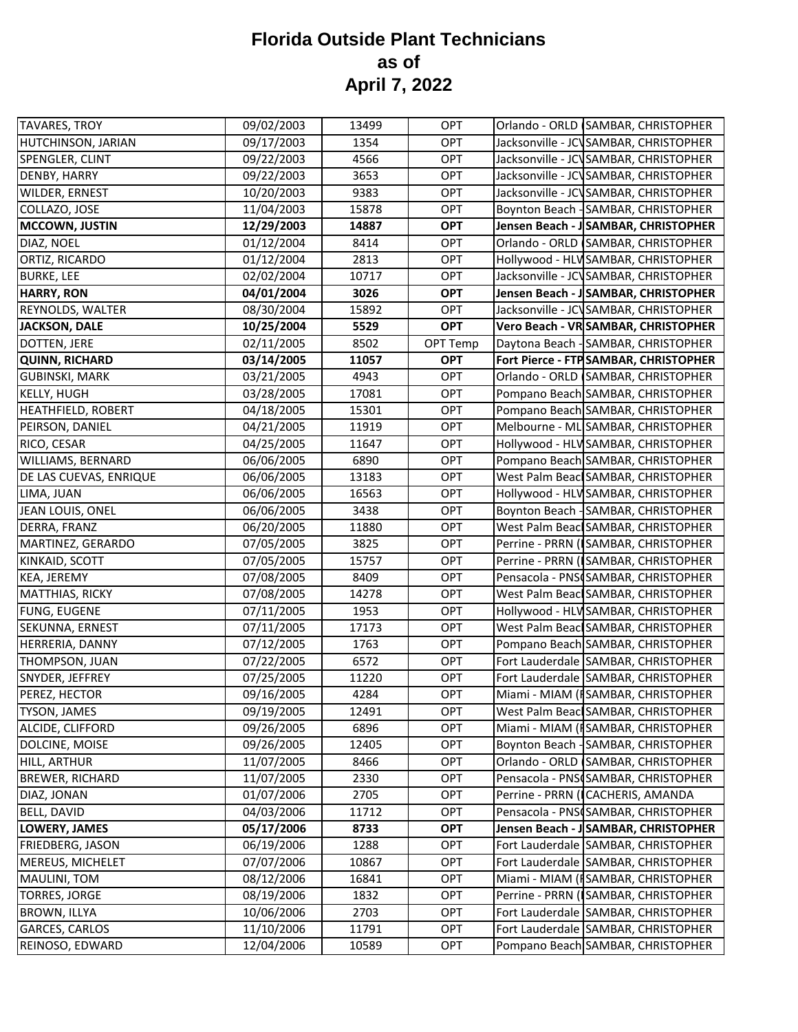| <b>TAVARES, TROY</b>      | 09/02/2003 | 13499 | <b>OPT</b> | Orlando - ORLD SAMBAR, CHRISTOPHER     |
|---------------------------|------------|-------|------------|----------------------------------------|
| HUTCHINSON, JARIAN        | 09/17/2003 | 1354  | <b>OPT</b> | Jacksonville - JCVSAMBAR, CHRISTOPHER  |
| SPENGLER, CLINT           | 09/22/2003 | 4566  | <b>OPT</b> | Jacksonville - JCVSAMBAR, CHRISTOPHER  |
| DENBY, HARRY              | 09/22/2003 | 3653  | <b>OPT</b> | Jacksonville - JCVSAMBAR, CHRISTOPHER  |
| WILDER, ERNEST            | 10/20/2003 | 9383  | OPT        | Jacksonville - JCVSAMBAR, CHRISTOPHER  |
| COLLAZO, JOSE             | 11/04/2003 | 15878 | <b>OPT</b> | Boynton Beach - SAMBAR, CHRISTOPHER    |
| <b>MCCOWN, JUSTIN</b>     | 12/29/2003 | 14887 | <b>OPT</b> | Jensen Beach - J SAMBAR, CHRISTOPHER   |
| DIAZ, NOEL                | 01/12/2004 | 8414  | OPT        | Orlando - ORLD SAMBAR, CHRISTOPHER     |
| ORTIZ, RICARDO            | 01/12/2004 | 2813  | <b>OPT</b> | Hollywood - HLV SAMBAR, CHRISTOPHER    |
| <b>BURKE, LEE</b>         | 02/02/2004 | 10717 | <b>OPT</b> | Jacksonville - JCVSAMBAR, CHRISTOPHER  |
| <b>HARRY, RON</b>         | 04/01/2004 | 3026  | <b>OPT</b> | Jensen Beach - J SAMBAR, CHRISTOPHER   |
| REYNOLDS, WALTER          | 08/30/2004 | 15892 | OPT        | Jacksonville - JCV SAMBAR, CHRISTOPHER |
| <b>JACKSON, DALE</b>      | 10/25/2004 | 5529  | <b>OPT</b> | Vero Beach - VR SAMBAR, CHRISTOPHER    |
| DOTTEN, JERE              | 02/11/2005 | 8502  | OPT Temp   | Daytona Beach - SAMBAR, CHRISTOPHER    |
| <b>QUINN, RICHARD</b>     | 03/14/2005 | 11057 | <b>OPT</b> | Fort Pierce - FTP SAMBAR, CHRISTOPHER  |
| <b>GUBINSKI, MARK</b>     | 03/21/2005 | 4943  | <b>OPT</b> | Orlando - ORLD SAMBAR, CHRISTOPHER     |
| <b>KELLY, HUGH</b>        | 03/28/2005 | 17081 | <b>OPT</b> | Pompano Beach SAMBAR, CHRISTOPHER      |
| <b>HEATHFIELD, ROBERT</b> | 04/18/2005 | 15301 | <b>OPT</b> | Pompano Beach SAMBAR, CHRISTOPHER      |
| PEIRSON, DANIEL           | 04/21/2005 | 11919 | OPT        | Melbourne - ML SAMBAR, CHRISTOPHER     |
| RICO, CESAR               | 04/25/2005 | 11647 | <b>OPT</b> | Hollywood - HLV SAMBAR, CHRISTOPHER    |
| WILLIAMS, BERNARD         | 06/06/2005 | 6890  | OPT        | Pompano Beach SAMBAR, CHRISTOPHER      |
| DE LAS CUEVAS, ENRIQUE    | 06/06/2005 | 13183 | OPT        | West Palm Beacl SAMBAR, CHRISTOPHER    |
| LIMA, JUAN                | 06/06/2005 | 16563 | <b>OPT</b> | Hollywood - HLV SAMBAR, CHRISTOPHER    |
| JEAN LOUIS, ONEL          | 06/06/2005 | 3438  | <b>OPT</b> | Boynton Beach - SAMBAR, CHRISTOPHER    |
| DERRA, FRANZ              | 06/20/2005 | 11880 | <b>OPT</b> | West Palm Beacl SAMBAR, CHRISTOPHER    |
| MARTINEZ, GERARDO         | 07/05/2005 | 3825  | <b>OPT</b> | Perrine - PRRN (ISAMBAR, CHRISTOPHER   |
| KINKAID, SCOTT            | 07/05/2005 | 15757 | <b>OPT</b> | Perrine - PRRN (SAMBAR, CHRISTOPHER    |
| KEA, JEREMY               | 07/08/2005 | 8409  | <b>OPT</b> | Pensacola - PNSCSAMBAR, CHRISTOPHER    |
| <b>MATTHIAS, RICKY</b>    | 07/08/2005 | 14278 | <b>OPT</b> | West Palm Beacl SAMBAR, CHRISTOPHER    |
| FUNG, EUGENE              | 07/11/2005 | 1953  | OPT        | Hollywood - HLV SAMBAR, CHRISTOPHER    |
| SEKUNNA, ERNEST           | 07/11/2005 | 17173 | <b>OPT</b> | West Palm Beacl SAMBAR, CHRISTOPHER    |
| HERRERIA, DANNY           | 07/12/2005 | 1763  | <b>OPT</b> | Pompano Beach SAMBAR, CHRISTOPHER      |
| THOMPSON, JUAN            | 07/22/2005 | 6572  | <b>OPT</b> | Fort Lauderdale SAMBAR, CHRISTOPHER    |
| SNYDER, JEFFREY           | 07/25/2005 | 11220 | OPT        | Fort Lauderdale SAMBAR, CHRISTOPHER    |
| PEREZ, HECTOR             | 09/16/2005 | 4284  | OPT        | Miami - MIAM (ISAMBAR, CHRISTOPHER     |
| <b>TYSON, JAMES</b>       | 09/19/2005 | 12491 | OPT        | West Palm Beacl SAMBAR, CHRISTOPHER    |
| ALCIDE, CLIFFORD          | 09/26/2005 | 6896  | OPT        | Miami - MIAM (ISAMBAR, CHRISTOPHER     |
| DOLCINE, MOISE            | 09/26/2005 | 12405 | <b>OPT</b> | Boynton Beach - SAMBAR, CHRISTOPHER    |
| HILL, ARTHUR              | 11/07/2005 | 8466  | <b>OPT</b> | Orlando - ORLD SAMBAR, CHRISTOPHER     |
| <b>BREWER, RICHARD</b>    | 11/07/2005 | 2330  | OPT        | Pensacola - PNSCSAMBAR, CHRISTOPHER    |
| DIAZ, JONAN               | 01/07/2006 | 2705  | <b>OPT</b> | Perrine - PRRN (ICACHERIS, AMANDA      |
| <b>BELL, DAVID</b>        | 04/03/2006 | 11712 | <b>OPT</b> | Pensacola - PNSCSAMBAR, CHRISTOPHER    |
| <b>LOWERY, JAMES</b>      | 05/17/2006 | 8733  | <b>OPT</b> | Jensen Beach - J SAMBAR, CHRISTOPHER   |
| FRIEDBERG, JASON          | 06/19/2006 | 1288  | OPT        | Fort Lauderdale SAMBAR, CHRISTOPHER    |
| MEREUS, MICHELET          | 07/07/2006 | 10867 | <b>OPT</b> | Fort Lauderdale SAMBAR, CHRISTOPHER    |
| MAULINI, TOM              | 08/12/2006 | 16841 | <b>OPT</b> | Miami - MIAM (ISAMBAR, CHRISTOPHER     |
| <b>TORRES, JORGE</b>      | 08/19/2006 | 1832  | <b>OPT</b> | Perrine - PRRN (SAMBAR, CHRISTOPHER    |
| <b>BROWN, ILLYA</b>       | 10/06/2006 | 2703  | <b>OPT</b> | Fort Lauderdale SAMBAR, CHRISTOPHER    |
| <b>GARCES, CARLOS</b>     | 11/10/2006 | 11791 | OPT        | Fort Lauderdale SAMBAR, CHRISTOPHER    |
| REINOSO, EDWARD           | 12/04/2006 | 10589 | OPT        | Pompano Beach SAMBAR, CHRISTOPHER      |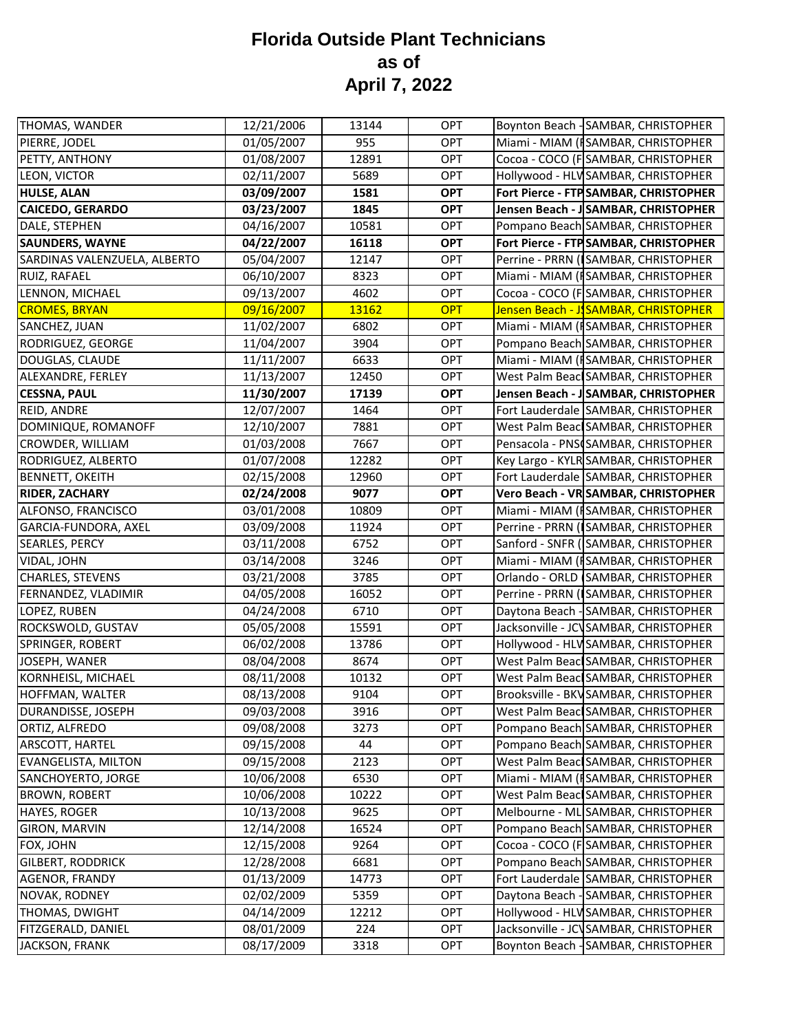| THOMAS, WANDER               | 12/21/2006 | 13144 | OPT        | Boynton Beach - SAMBAR, CHRISTOPHER   |
|------------------------------|------------|-------|------------|---------------------------------------|
| PIERRE, JODEL                | 01/05/2007 | 955   | OPT        | Miami - MIAM (ISAMBAR, CHRISTOPHER    |
| PETTY, ANTHONY               | 01/08/2007 | 12891 | <b>OPT</b> | Cocoa - COCO (F SAMBAR, CHRISTOPHER   |
| LEON, VICTOR                 | 02/11/2007 | 5689  | OPT        | Hollywood - HLV SAMBAR, CHRISTOPHER   |
| <b>HULSE, ALAN</b>           | 03/09/2007 | 1581  | <b>OPT</b> | Fort Pierce - FTP SAMBAR, CHRISTOPHER |
| <b>CAICEDO, GERARDO</b>      | 03/23/2007 | 1845  | <b>OPT</b> | Jensen Beach - JSAMBAR, CHRISTOPHER   |
| DALE, STEPHEN                | 04/16/2007 | 10581 | OPT        | Pompano Beach SAMBAR, CHRISTOPHER     |
| <b>SAUNDERS, WAYNE</b>       | 04/22/2007 | 16118 | <b>OPT</b> | Fort Pierce - FTP SAMBAR, CHRISTOPHER |
| SARDINAS VALENZUELA, ALBERTO | 05/04/2007 | 12147 | <b>OPT</b> | Perrine - PRRN (SAMBAR, CHRISTOPHER   |
| RUIZ, RAFAEL                 | 06/10/2007 | 8323  | <b>OPT</b> | Miami - MIAM (ISAMBAR, CHRISTOPHER    |
| LENNON, MICHAEL              | 09/13/2007 | 4602  | <b>OPT</b> | Cocoa - COCO (F SAMBAR, CHRISTOPHER   |
| <b>CROMES, BRYAN</b>         | 09/16/2007 | 13162 | <b>OPT</b> | Jensen Beach - JSAMBAR, CHRISTOPHER   |
| SANCHEZ, JUAN                | 11/02/2007 | 6802  | <b>OPT</b> | Miami - MIAM (ISAMBAR, CHRISTOPHER    |
| RODRIGUEZ, GEORGE            | 11/04/2007 | 3904  | OPT        | Pompano Beach SAMBAR, CHRISTOPHER     |
| DOUGLAS, CLAUDE              | 11/11/2007 | 6633  | OPT        | Miami - MIAM (ISAMBAR, CHRISTOPHER    |
| ALEXANDRE, FERLEY            | 11/13/2007 | 12450 | <b>OPT</b> | West Palm Beacl SAMBAR, CHRISTOPHER   |
| <b>CESSNA, PAUL</b>          | 11/30/2007 | 17139 | <b>OPT</b> | Jensen Beach - J SAMBAR, CHRISTOPHER  |
| REID, ANDRE                  | 12/07/2007 | 1464  | <b>OPT</b> | Fort Lauderdale SAMBAR, CHRISTOPHER   |
| DOMINIQUE, ROMANOFF          | 12/10/2007 | 7881  | <b>OPT</b> | West Palm Beacl SAMBAR, CHRISTOPHER   |
| CROWDER, WILLIAM             | 01/03/2008 | 7667  | <b>OPT</b> | Pensacola - PNSCSAMBAR, CHRISTOPHER   |
| RODRIGUEZ, ALBERTO           | 01/07/2008 | 12282 | OPT        | Key Largo - KYLR SAMBAR, CHRISTOPHER  |
| <b>BENNETT, OKEITH</b>       | 02/15/2008 | 12960 | OPT        | Fort Lauderdale SAMBAR, CHRISTOPHER   |
| <b>RIDER, ZACHARY</b>        | 02/24/2008 | 9077  | <b>OPT</b> | Vero Beach - VR SAMBAR, CHRISTOPHER   |
| ALFONSO, FRANCISCO           | 03/01/2008 | 10809 | <b>OPT</b> | Miami - MIAM (ISAMBAR, CHRISTOPHER    |
| GARCIA-FUNDORA, AXEL         | 03/09/2008 | 11924 | OPT        | Perrine - PRRN (ISAMBAR, CHRISTOPHER  |
| SEARLES, PERCY               | 03/11/2008 | 6752  | OPT        | Sanford - SNFR (SAMBAR, CHRISTOPHER   |
| VIDAL, JOHN                  | 03/14/2008 | 3246  | <b>OPT</b> | Miami - MIAM (ISAMBAR, CHRISTOPHER    |
| CHARLES, STEVENS             | 03/21/2008 | 3785  | OPT        | Orlando - ORLD (SAMBAR, CHRISTOPHER   |
| FERNANDEZ, VLADIMIR          | 04/05/2008 | 16052 | OPT        | Perrine - PRRN (SAMBAR, CHRISTOPHER   |
| LOPEZ, RUBEN                 | 04/24/2008 | 6710  | OPT        | Daytona Beach - SAMBAR, CHRISTOPHER   |
| ROCKSWOLD, GUSTAV            | 05/05/2008 | 15591 | <b>OPT</b> | Jacksonville - JCVSAMBAR, CHRISTOPHER |
| SPRINGER, ROBERT             | 06/02/2008 | 13786 | OPT        | Hollywood - HLV SAMBAR, CHRISTOPHER   |
| JOSEPH, WANER                | 08/04/2008 | 8674  | OPT        | West Palm Beacl SAMBAR, CHRISTOPHER   |
| KORNHEISL, MICHAEL           | 08/11/2008 | 10132 | <b>OPT</b> | West Palm Beacl SAMBAR, CHRISTOPHER   |
| HOFFMAN, WALTER              | 08/13/2008 | 9104  | <b>OPT</b> | Brooksville - BKV SAMBAR, CHRISTOPHER |
| DURANDISSE, JOSEPH           | 09/03/2008 | 3916  | OPT        | West Palm Beac SAMBAR, CHRISTOPHER    |
| ORTIZ, ALFREDO               | 09/08/2008 | 3273  | OPT        | Pompano Beach SAMBAR, CHRISTOPHER     |
| ARSCOTT, HARTEL              | 09/15/2008 | 44    | <b>OPT</b> | Pompano Beach SAMBAR, CHRISTOPHER     |
| <b>EVANGELISTA, MILTON</b>   | 09/15/2008 | 2123  | OPT        | West Palm Beacl SAMBAR, CHRISTOPHER   |
| SANCHOYERTO, JORGE           | 10/06/2008 | 6530  | OPT        | Miami - MIAM (ISAMBAR, CHRISTOPHER    |
| <b>BROWN, ROBERT</b>         | 10/06/2008 | 10222 | <b>OPT</b> | West Palm Beacl SAMBAR, CHRISTOPHER   |
| <b>HAYES, ROGER</b>          | 10/13/2008 | 9625  | <b>OPT</b> | Melbourne - ML SAMBAR, CHRISTOPHER    |
| GIRON, MARVIN                | 12/14/2008 | 16524 | OPT        | Pompano Beach SAMBAR, CHRISTOPHER     |
| FOX, JOHN                    | 12/15/2008 | 9264  | OPT        | Cocoa - COCO (F SAMBAR, CHRISTOPHER   |
| <b>GILBERT, RODDRICK</b>     | 12/28/2008 | 6681  | <b>OPT</b> | Pompano Beach SAMBAR, CHRISTOPHER     |
| AGENOR, FRANDY               | 01/13/2009 | 14773 | <b>OPT</b> | Fort Lauderdale SAMBAR, CHRISTOPHER   |
| NOVAK, RODNEY                | 02/02/2009 | 5359  | OPT        | Daytona Beach - SAMBAR, CHRISTOPHER   |
| THOMAS, DWIGHT               | 04/14/2009 | 12212 | OPT        | Hollywood - HLV SAMBAR, CHRISTOPHER   |
| FITZGERALD, DANIEL           | 08/01/2009 | 224   | OPT        | Jacksonville - JCVSAMBAR, CHRISTOPHER |
| JACKSON, FRANK               | 08/17/2009 | 3318  | <b>OPT</b> | Boynton Beach - SAMBAR, CHRISTOPHER   |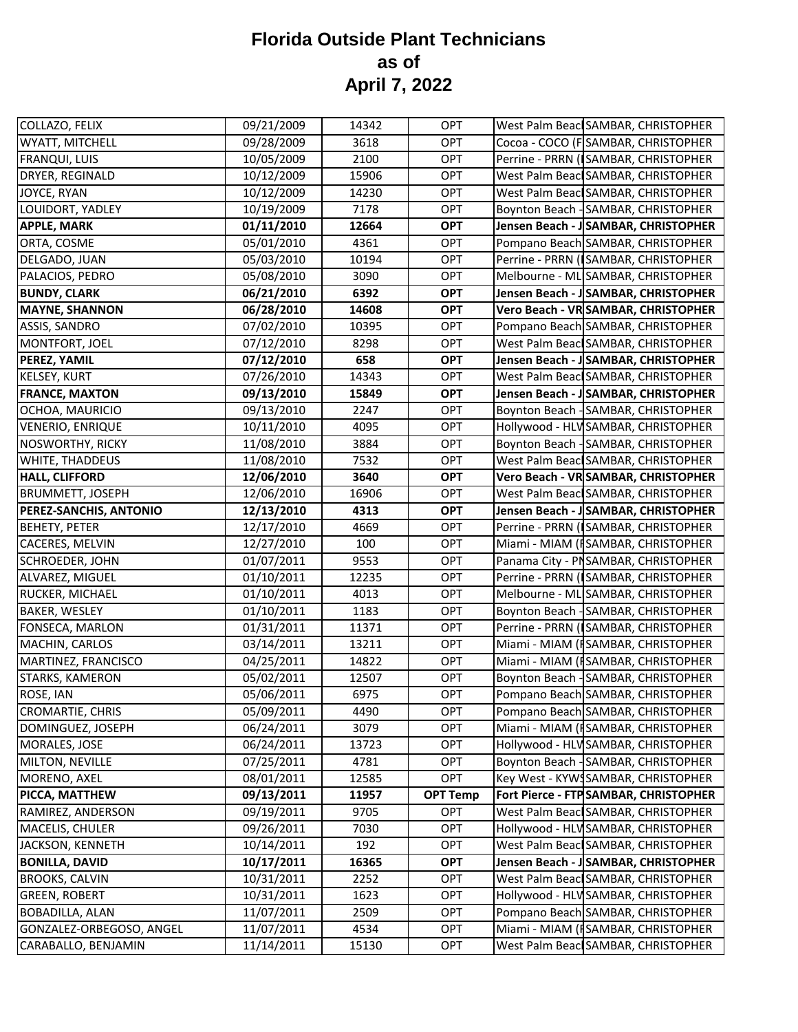| COLLAZO, FELIX                | 09/21/2009 | 14342 | OPT             | West Palm Beacl SAMBAR, CHRISTOPHER   |
|-------------------------------|------------|-------|-----------------|---------------------------------------|
| WYATT, MITCHELL               | 09/28/2009 | 3618  | <b>OPT</b>      | Cocoa - COCO (F SAMBAR, CHRISTOPHER   |
| <b>FRANQUI, LUIS</b>          | 10/05/2009 | 2100  | OPT             | Perrine - PRRN (SAMBAR, CHRISTOPHER   |
| DRYER, REGINALD               | 10/12/2009 | 15906 | OPT             | West Palm Beac SAMBAR, CHRISTOPHER    |
| JOYCE, RYAN                   | 10/12/2009 | 14230 | <b>OPT</b>      | West Palm Beacl SAMBAR, CHRISTOPHER   |
| LOUIDORT, YADLEY              | 10/19/2009 | 7178  | <b>OPT</b>      | Boynton Beach - SAMBAR, CHRISTOPHER   |
| <b>APPLE, MARK</b>            | 01/11/2010 | 12664 | <b>OPT</b>      | Jensen Beach - J SAMBAR, CHRISTOPHER  |
| ORTA, COSME                   | 05/01/2010 | 4361  | <b>OPT</b>      | Pompano Beach SAMBAR, CHRISTOPHER     |
| DELGADO, JUAN                 | 05/03/2010 | 10194 | <b>OPT</b>      | Perrine - PRRN (ISAMBAR, CHRISTOPHER  |
| PALACIOS, PEDRO               | 05/08/2010 | 3090  | <b>OPT</b>      | Melbourne - ML SAMBAR, CHRISTOPHER    |
| <b>BUNDY, CLARK</b>           | 06/21/2010 | 6392  | <b>OPT</b>      | Jensen Beach - J SAMBAR, CHRISTOPHER  |
| <b>MAYNE, SHANNON</b>         | 06/28/2010 | 14608 | <b>OPT</b>      | Vero Beach - VR SAMBAR, CHRISTOPHER   |
| <b>ASSIS, SANDRO</b>          | 07/02/2010 | 10395 | <b>OPT</b>      | Pompano Beach SAMBAR, CHRISTOPHER     |
| MONTFORT, JOEL                | 07/12/2010 | 8298  | OPT             | West Palm Beacl SAMBAR, CHRISTOPHER   |
| PEREZ, YAMIL                  | 07/12/2010 | 658   | <b>OPT</b>      | Jensen Beach - J SAMBAR, CHRISTOPHER  |
| <b>KELSEY, KURT</b>           | 07/26/2010 | 14343 | <b>OPT</b>      | West Palm Beacl SAMBAR, CHRISTOPHER   |
| <b>FRANCE, MAXTON</b>         | 09/13/2010 | 15849 | <b>OPT</b>      | Jensen Beach - J SAMBAR, CHRISTOPHER  |
| OCHOA, MAURICIO               | 09/13/2010 | 2247  | OPT             | Boynton Beach - SAMBAR, CHRISTOPHER   |
| <b>VENERIO, ENRIQUE</b>       | 10/11/2010 | 4095  | <b>OPT</b>      | Hollywood - HLV SAMBAR, CHRISTOPHER   |
| <b>NOSWORTHY, RICKY</b>       | 11/08/2010 | 3884  | <b>OPT</b>      | Boynton Beach - SAMBAR, CHRISTOPHER   |
| WHITE, THADDEUS               | 11/08/2010 | 7532  | OPT             | West Palm Beac SAMBAR, CHRISTOPHER    |
| <b>HALL, CLIFFORD</b>         | 12/06/2010 | 3640  | <b>OPT</b>      | Vero Beach - VR SAMBAR, CHRISTOPHER   |
| <b>BRUMMETT, JOSEPH</b>       | 12/06/2010 | 16906 | OPT             | West Palm Beacl SAMBAR, CHRISTOPHER   |
| <b>PEREZ-SANCHIS, ANTONIO</b> | 12/13/2010 | 4313  | <b>OPT</b>      | Jensen Beach - J SAMBAR, CHRISTOPHER  |
| <b>BEHETY, PETER</b>          | 12/17/2010 | 4669  | OPT             | Perrine - PRRN (ISAMBAR, CHRISTOPHER  |
| <b>CACERES, MELVIN</b>        | 12/27/2010 | 100   | OPT             | Miami - MIAM (ISAMBAR, CHRISTOPHER    |
| <b>SCHROEDER, JOHN</b>        | 01/07/2011 | 9553  | <b>OPT</b>      | Panama City - PNSAMBAR, CHRISTOPHER   |
| ALVAREZ, MIGUEL               | 01/10/2011 | 12235 | OPT             | Perrine - PRRN (ISAMBAR, CHRISTOPHER  |
| RUCKER, MICHAEL               | 01/10/2011 | 4013  | OPT             | Melbourne - ML SAMBAR, CHRISTOPHER    |
| BAKER, WESLEY                 | 01/10/2011 | 1183  | <b>OPT</b>      | Boynton Beach - SAMBAR, CHRISTOPHER   |
| FONSECA, MARLON               | 01/31/2011 | 11371 | <b>OPT</b>      | Perrine - PRRN (ISAMBAR, CHRISTOPHER  |
| MACHIN, CARLOS                | 03/14/2011 | 13211 | <b>OPT</b>      | Miami - MIAM (ISAMBAR, CHRISTOPHER    |
| MARTINEZ, FRANCISCO           | 04/25/2011 | 14822 | OPT             | Miami - MIAM (ISAMBAR, CHRISTOPHER    |
| STARKS, KAMERON               | 05/02/2011 | 12507 | <b>OPT</b>      | Boynton Beach - SAMBAR, CHRISTOPHER   |
| ROSE, IAN                     | 05/06/2011 | 6975  | OPT             | Pompano Beach SAMBAR, CHRISTOPHER     |
| CROMARTIE, CHRIS              | 05/09/2011 | 4490  | OPT             | Pompano Beach SAMBAR, CHRISTOPHER     |
| DOMINGUEZ, JOSEPH             | 06/24/2011 | 3079  | OPT             | Miami - MIAM (ISAMBAR, CHRISTOPHER    |
| MORALES, JOSE                 | 06/24/2011 | 13723 | <b>OPT</b>      | Hollywood - HLV SAMBAR, CHRISTOPHER   |
| MILTON, NEVILLE               | 07/25/2011 | 4781  | OPT             | Boynton Beach - SAMBAR, CHRISTOPHER   |
| MORENO, AXEL                  | 08/01/2011 | 12585 | OPT             | Key West - KYWSSAMBAR, CHRISTOPHER    |
| PICCA, MATTHEW                | 09/13/2011 | 11957 | <b>OPT Temp</b> | Fort Pierce - FTP SAMBAR, CHRISTOPHER |
| RAMIREZ, ANDERSON             | 09/19/2011 | 9705  | <b>OPT</b>      | West Palm Beacl SAMBAR, CHRISTOPHER   |
| MACELIS, CHULER               | 09/26/2011 | 7030  | OPT             | Hollywood - HLV SAMBAR, CHRISTOPHER   |
| JACKSON, KENNETH              | 10/14/2011 | 192   | OPT             | West Palm Beacl SAMBAR, CHRISTOPHER   |
| <b>BONILLA, DAVID</b>         | 10/17/2011 | 16365 | <b>OPT</b>      | Jensen Beach - J SAMBAR, CHRISTOPHER  |
| <b>BROOKS, CALVIN</b>         | 10/31/2011 | 2252  | OPT             | West Palm Beacl SAMBAR, CHRISTOPHER   |
| <b>GREEN, ROBERT</b>          | 10/31/2011 | 1623  | OPT             | Hollywood - HLV SAMBAR, CHRISTOPHER   |
| <b>BOBADILLA, ALAN</b>        | 11/07/2011 | 2509  | OPT             | Pompano Beach SAMBAR, CHRISTOPHER     |
| GONZALEZ-ORBEGOSO, ANGEL      | 11/07/2011 | 4534  | OPT             | Miami - MIAM (ISAMBAR, CHRISTOPHER    |
| CARABALLO, BENJAMIN           | 11/14/2011 | 15130 | <b>OPT</b>      | West Palm Beacl SAMBAR, CHRISTOPHER   |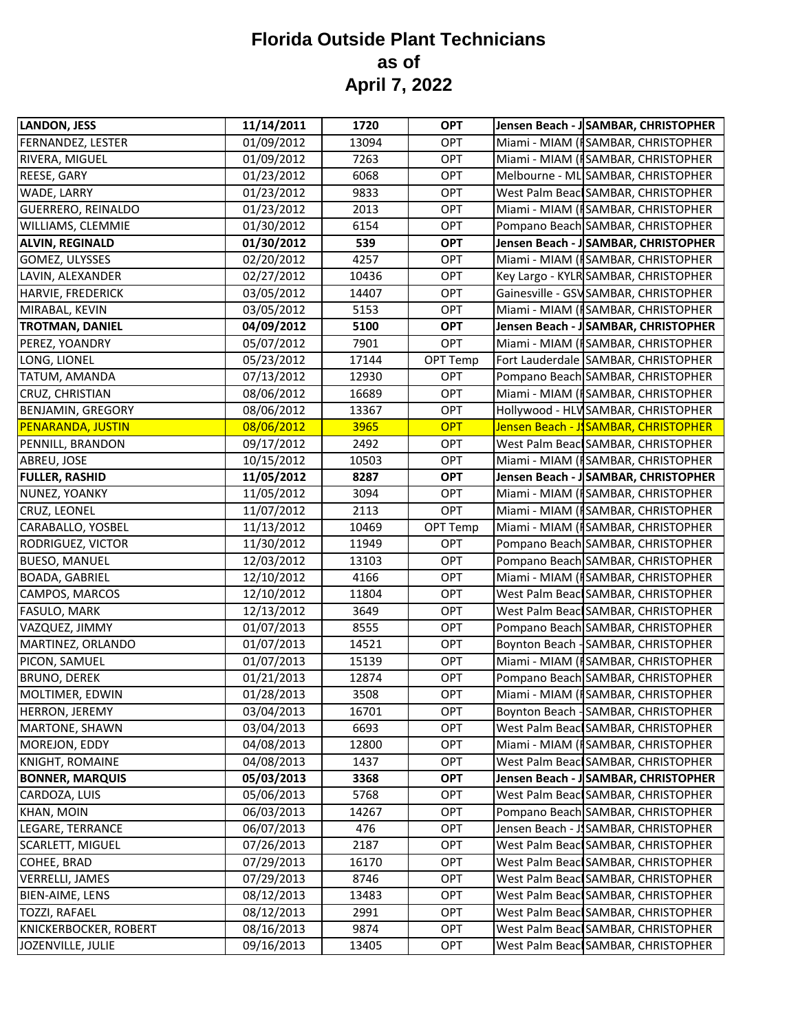| LANDON, JESS              | 11/14/2011 | 1720  | <b>OPT</b> | Jensen Beach - J SAMBAR, CHRISTOPHER  |
|---------------------------|------------|-------|------------|---------------------------------------|
| FERNANDEZ, LESTER         | 01/09/2012 | 13094 | <b>OPT</b> | Miami - MIAM (ISAMBAR, CHRISTOPHER    |
| RIVERA, MIGUEL            | 01/09/2012 | 7263  | <b>OPT</b> | Miami - MIAM (ISAMBAR, CHRISTOPHER    |
| REESE, GARY               | 01/23/2012 | 6068  | OPT        | Melbourne - ML SAMBAR, CHRISTOPHER    |
| WADE, LARRY               | 01/23/2012 | 9833  | OPT        | West Palm Beacl SAMBAR, CHRISTOPHER   |
| <b>GUERRERO, REINALDO</b> | 01/23/2012 | 2013  | <b>OPT</b> | Miami - MIAM (ISAMBAR, CHRISTOPHER    |
| WILLIAMS, CLEMMIE         | 01/30/2012 | 6154  | OPT        | Pompano Beach SAMBAR, CHRISTOPHER     |
| <b>ALVIN, REGINALD</b>    | 01/30/2012 | 539   | <b>OPT</b> | Jensen Beach - J SAMBAR, CHRISTOPHER  |
| GOMEZ, ULYSSES            | 02/20/2012 | 4257  | <b>OPT</b> | Miami - MIAM (ISAMBAR, CHRISTOPHER    |
| LAVIN, ALEXANDER          | 02/27/2012 | 10436 | <b>OPT</b> | Key Largo - KYLR SAMBAR, CHRISTOPHER  |
| HARVIE, FREDERICK         | 03/05/2012 | 14407 | OPT        | Gainesville - GSV SAMBAR, CHRISTOPHER |
| MIRABAL, KEVIN            | 03/05/2012 | 5153  | OPT        | Miami - MIAM (ISAMBAR, CHRISTOPHER    |
| <b>TROTMAN, DANIEL</b>    | 04/09/2012 | 5100  | <b>OPT</b> | Jensen Beach - J SAMBAR, CHRISTOPHER  |
| PEREZ, YOANDRY            | 05/07/2012 | 7901  | OPT        | Miami - MIAM (ISAMBAR, CHRISTOPHER    |
| LONG, LIONEL              | 05/23/2012 | 17144 | OPT Temp   | Fort Lauderdale SAMBAR, CHRISTOPHER   |
| TATUM, AMANDA             | 07/13/2012 | 12930 | OPT        | Pompano Beach SAMBAR, CHRISTOPHER     |
| CRUZ, CHRISTIAN           | 08/06/2012 | 16689 | <b>OPT</b> | Miami - MIAM (ISAMBAR, CHRISTOPHER    |
| <b>BENJAMIN, GREGORY</b>  | 08/06/2012 | 13367 | OPT        | Hollywood - HLV SAMBAR, CHRISTOPHER   |
| PENARANDA, JUSTIN         | 08/06/2012 | 3965  | <b>OPT</b> | Jensen Beach - J. SAMBAR, CHRISTOPHER |
| PENNILL, BRANDON          | 09/17/2012 | 2492  | <b>OPT</b> | West Palm Beacl SAMBAR, CHRISTOPHER   |
| ABREU, JOSE               | 10/15/2012 | 10503 | OPT        | Miami - MIAM (ISAMBAR, CHRISTOPHER    |
| <b>FULLER, RASHID</b>     | 11/05/2012 | 8287  | <b>OPT</b> | Jensen Beach - J SAMBAR, CHRISTOPHER  |
| NUNEZ, YOANKY             | 11/05/2012 | 3094  | <b>OPT</b> | Miami - MIAM (ISAMBAR, CHRISTOPHER    |
| CRUZ, LEONEL              | 11/07/2012 | 2113  | OPT        | Miami - MIAM (ISAMBAR, CHRISTOPHER    |
| CARABALLO, YOSBEL         | 11/13/2012 | 10469 | OPT Temp   | Miami - MIAM (ISAMBAR, CHRISTOPHER    |
| RODRIGUEZ, VICTOR         | 11/30/2012 | 11949 | OPT        | Pompano Beach SAMBAR, CHRISTOPHER     |
| <b>BUESO, MANUEL</b>      | 12/03/2012 | 13103 | OPT        | Pompano Beach SAMBAR, CHRISTOPHER     |
| <b>BOADA, GABRIEL</b>     | 12/10/2012 | 4166  | OPT        | Miami - MIAM (ISAMBAR, CHRISTOPHER    |
| CAMPOS, MARCOS            | 12/10/2012 | 11804 | OPT        | West Palm Beacl SAMBAR, CHRISTOPHER   |
| FASULO, MARK              | 12/13/2012 | 3649  | <b>OPT</b> | West Palm Beacl SAMBAR, CHRISTOPHER   |
| VAZQUEZ, JIMMY            | 01/07/2013 | 8555  | <b>OPT</b> | Pompano Beach SAMBAR, CHRISTOPHER     |
| MARTINEZ, ORLANDO         | 01/07/2013 | 14521 | OPT        | Boynton Beach - SAMBAR, CHRISTOPHER   |
| PICON, SAMUEL             | 01/07/2013 | 15139 | OPT        | Miami - MIAM (ISAMBAR, CHRISTOPHER    |
| <b>BRUNO, DEREK</b>       | 01/21/2013 | 12874 | <b>OPT</b> | Pompano Beach SAMBAR, CHRISTOPHER     |
| MOLTIMER, EDWIN           | 01/28/2013 | 3508  | OPT        | Miami - MIAM (ISAMBAR, CHRISTOPHER    |
| HERRON, JEREMY            | 03/04/2013 | 16701 | OPT        | Boynton Beach - SAMBAR, CHRISTOPHER   |
| <b>MARTONE, SHAWN</b>     | 03/04/2013 | 6693  | OPT        | West Palm Beacl SAMBAR, CHRISTOPHER   |
| MOREJON, EDDY             | 04/08/2013 | 12800 | OPT        | Miami - MIAM (ISAMBAR, CHRISTOPHER    |
| <b>KNIGHT, ROMAINE</b>    | 04/08/2013 | 1437  | OPT        | West Palm Beacl SAMBAR, CHRISTOPHER   |
| <b>BONNER, MARQUIS</b>    | 05/03/2013 | 3368  | <b>OPT</b> | Jensen Beach - J SAMBAR, CHRISTOPHER  |
| CARDOZA, LUIS             | 05/06/2013 | 5768  | <b>OPT</b> | West Palm Beacl SAMBAR, CHRISTOPHER   |
| KHAN, MOIN                | 06/03/2013 | 14267 | OPT        | Pompano Beach SAMBAR, CHRISTOPHER     |
| LEGARE, TERRANCE          | 06/07/2013 | 476   | OPT        | Jensen Beach - JSAMBAR, CHRISTOPHER   |
| SCARLETT, MIGUEL          | 07/26/2013 | 2187  | OPT        | West Palm Beacl SAMBAR, CHRISTOPHER   |
| COHEE, BRAD               | 07/29/2013 | 16170 | <b>OPT</b> | West Palm Beacl SAMBAR, CHRISTOPHER   |
| <b>VERRELLI, JAMES</b>    | 07/29/2013 | 8746  | OPT        | West Palm Beacl SAMBAR, CHRISTOPHER   |
| BIEN-AIME, LENS           | 08/12/2013 | 13483 | OPT        | West Palm Beacl SAMBAR, CHRISTOPHER   |
| <b>TOZZI, RAFAEL</b>      | 08/12/2013 | 2991  | OPT        | West Palm Beacl SAMBAR, CHRISTOPHER   |
| KNICKERBOCKER, ROBERT     | 08/16/2013 | 9874  | <b>OPT</b> | West Palm Beacl SAMBAR, CHRISTOPHER   |
| JOZENVILLE, JULIE         | 09/16/2013 | 13405 | OPT        | West Palm Beacl SAMBAR, CHRISTOPHER   |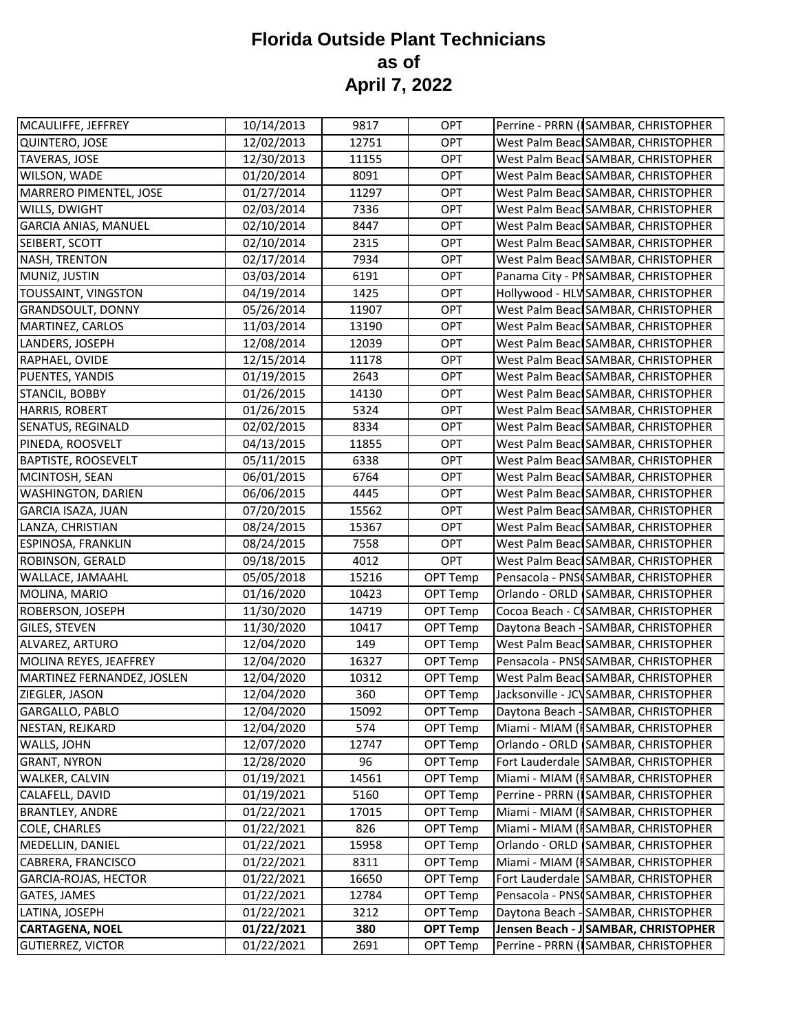| MCAULIFFE, JEFFREY          | 10/14/2013 | 9817  | <b>OPT</b>      | Perrine - PRRN (SAMBAR, CHRISTOPHER    |
|-----------------------------|------------|-------|-----------------|----------------------------------------|
| QUINTERO, JOSE              | 12/02/2013 | 12751 | <b>OPT</b>      | West Palm Beacl SAMBAR, CHRISTOPHER    |
| <b>TAVERAS, JOSE</b>        | 12/30/2013 | 11155 | OPT             | West Palm Beacl SAMBAR, CHRISTOPHER    |
| WILSON, WADE                | 01/20/2014 | 8091  | <b>OPT</b>      | West Palm Beacl SAMBAR, CHRISTOPHER    |
| MARRERO PIMENTEL, JOSE      | 01/27/2014 | 11297 | <b>OPT</b>      | West Palm Beacl SAMBAR, CHRISTOPHER    |
| WILLS, DWIGHT               | 02/03/2014 | 7336  | <b>OPT</b>      | West Palm Beacl SAMBAR, CHRISTOPHER    |
| <b>GARCIA ANIAS, MANUEL</b> | 02/10/2014 | 8447  | <b>OPT</b>      | West Palm Beacl SAMBAR, CHRISTOPHER    |
| SEIBERT, SCOTT              | 02/10/2014 | 2315  | <b>OPT</b>      | West Palm Beacl SAMBAR, CHRISTOPHER    |
| NASH, TRENTON               | 02/17/2014 | 7934  | <b>OPT</b>      | West Palm Beacl SAMBAR, CHRISTOPHER    |
| MUNIZ, JUSTIN               | 03/03/2014 | 6191  | <b>OPT</b>      | Panama City - PNSAMBAR, CHRISTOPHER    |
| TOUSSAINT, VINGSTON         | 04/19/2014 | 1425  | <b>OPT</b>      | Hollywood - HLV SAMBAR, CHRISTOPHER    |
| <b>GRANDSOULT, DONNY</b>    | 05/26/2014 | 11907 | OPT             | West Palm Beacl SAMBAR, CHRISTOPHER    |
| MARTINEZ, CARLOS            | 11/03/2014 | 13190 | <b>OPT</b>      | West Palm Beacl SAMBAR, CHRISTOPHER    |
| LANDERS, JOSEPH             | 12/08/2014 | 12039 | <b>OPT</b>      | West Palm Beacl SAMBAR, CHRISTOPHER    |
| RAPHAEL, OVIDE              | 12/15/2014 | 11178 | OPT             | West Palm Beacl SAMBAR, CHRISTOPHER    |
| PUENTES, YANDIS             | 01/19/2015 | 2643  | <b>OPT</b>      | West Palm Beacl SAMBAR, CHRISTOPHER    |
| STANCIL, BOBBY              | 01/26/2015 | 14130 | <b>OPT</b>      | West Palm Beacl SAMBAR, CHRISTOPHER    |
| <b>HARRIS, ROBERT</b>       | 01/26/2015 | 5324  | <b>OPT</b>      | West Palm Beacl SAMBAR, CHRISTOPHER    |
| SENATUS, REGINALD           | 02/02/2015 | 8334  | <b>OPT</b>      | West Palm Beacl SAMBAR, CHRISTOPHER    |
| PINEDA, ROOSVELT            | 04/13/2015 | 11855 | <b>OPT</b>      | West Palm Beacl SAMBAR, CHRISTOPHER    |
| <b>BAPTISTE, ROOSEVELT</b>  | 05/11/2015 | 6338  | <b>OPT</b>      | West Palm Beacl SAMBAR, CHRISTOPHER    |
| MCINTOSH, SEAN              | 06/01/2015 | 6764  | OPT             | West Palm Beacl SAMBAR, CHRISTOPHER    |
| WASHINGTON, DARIEN          | 06/06/2015 | 4445  | <b>OPT</b>      | West Palm Beacl SAMBAR, CHRISTOPHER    |
| <b>GARCIA ISAZA, JUAN</b>   | 07/20/2015 | 15562 | <b>OPT</b>      | West Palm Beacl SAMBAR, CHRISTOPHER    |
| LANZA, CHRISTIAN            | 08/24/2015 | 15367 | <b>OPT</b>      | West Palm Beacl SAMBAR, CHRISTOPHER    |
| <b>ESPINOSA, FRANKLIN</b>   | 08/24/2015 | 7558  | <b>OPT</b>      | West Palm Beacl SAMBAR, CHRISTOPHER    |
| ROBINSON, GERALD            | 09/18/2015 | 4012  | <b>OPT</b>      | West Palm Beacl SAMBAR, CHRISTOPHER    |
| WALLACE, JAMAAHL            | 05/05/2018 | 15216 | OPT Temp        | Pensacola - PNS SAMBAR, CHRISTOPHER    |
| MOLINA, MARIO               | 01/16/2020 | 10423 | OPT Temp        | Orlando - ORLD SAMBAR, CHRISTOPHER     |
| ROBERSON, JOSEPH            | 11/30/2020 | 14719 | OPT Temp        | Cocoa Beach - CISAMBAR, CHRISTOPHER    |
| GILES, STEVEN               | 11/30/2020 | 10417 | OPT Temp        | Daytona Beach - SAMBAR, CHRISTOPHER    |
| ALVAREZ, ARTURO             | 12/04/2020 | 149   | OPT Temp        | West Palm Beac SAMBAR, CHRISTOPHER     |
| MOLINA REYES, JEAFFREY      | 12/04/2020 | 16327 | OPT Temp        | Pensacola - PNS SAMBAR, CHRISTOPHER    |
| MARTINEZ FERNANDEZ, JOSLEN  | 12/04/2020 | 10312 | OPT Temp        | West Palm Beacl SAMBAR, CHRISTOPHER    |
| ZIEGLER, JASON              | 12/04/2020 | 360   | OPT Temp        | Jacksonville - JCV SAMBAR, CHRISTOPHER |
| GARGALLO, PABLO             | 12/04/2020 | 15092 | OPT Temp        | Daytona Beach - SAMBAR, CHRISTOPHER    |
| NESTAN, REJKARD             | 12/04/2020 | 574   | OPT Temp        | Miami - MIAM (ISAMBAR, CHRISTOPHER     |
| WALLS, JOHN                 | 12/07/2020 | 12747 | OPT Temp        | Orlando - ORLD SAMBAR, CHRISTOPHER     |
| <b>GRANT, NYRON</b>         | 12/28/2020 | 96    | OPT Temp        | Fort Lauderdale SAMBAR, CHRISTOPHER    |
| WALKER, CALVIN              | 01/19/2021 | 14561 | OPT Temp        | Miami - MIAM (ISAMBAR, CHRISTOPHER     |
| CALAFELL, DAVID             | 01/19/2021 | 5160  | OPT Temp        | Perrine - PRRN (ISAMBAR, CHRISTOPHER   |
| <b>BRANTLEY, ANDRE</b>      | 01/22/2021 | 17015 | OPT Temp        | Miami - MIAM (ISAMBAR, CHRISTOPHER     |
| COLE, CHARLES               | 01/22/2021 | 826   | OPT Temp        | Miami - MIAM (ISAMBAR, CHRISTOPHER     |
| MEDELLIN, DANIEL            | 01/22/2021 | 15958 | OPT Temp        | Orlando - ORLD (SAMBAR, CHRISTOPHER    |
| CABRERA, FRANCISCO          | 01/22/2021 | 8311  | OPT Temp        | Miami - MIAM (ISAMBAR, CHRISTOPHER     |
| GARCIA-ROJAS, HECTOR        | 01/22/2021 | 16650 | OPT Temp        | Fort Lauderdale SAMBAR, CHRISTOPHER    |
| GATES, JAMES                | 01/22/2021 | 12784 | OPT Temp        | Pensacola - PNSCSAMBAR, CHRISTOPHER    |
| LATINA, JOSEPH              | 01/22/2021 | 3212  | OPT Temp        | Daytona Beach - SAMBAR, CHRISTOPHER    |
| <b>CARTAGENA, NOEL</b>      | 01/22/2021 | 380   | <b>OPT Temp</b> | Jensen Beach - J SAMBAR, CHRISTOPHER   |
| <b>GUTIERREZ, VICTOR</b>    | 01/22/2021 | 2691  | OPT Temp        | Perrine - PRRN (ISAMBAR, CHRISTOPHER   |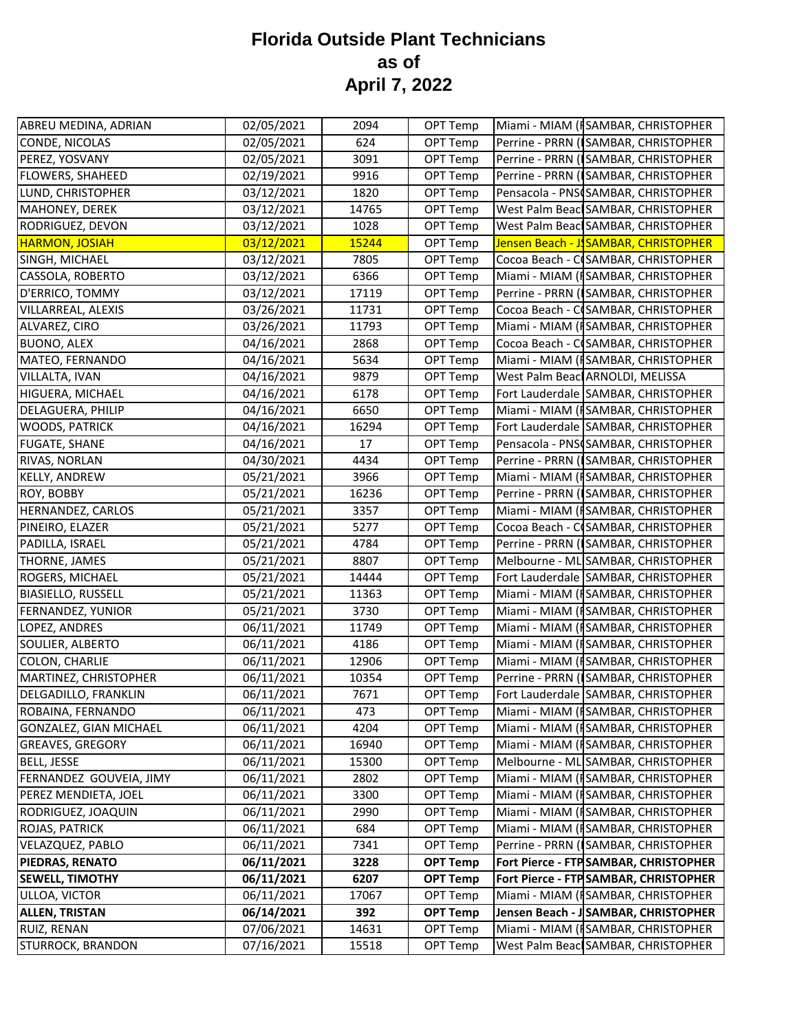| ABREU MEDINA, ADRIAN        | 02/05/2021 | 2094  | OPT Temp        |                                 | Miami - MIAM (ISAMBAR, CHRISTOPHER    |
|-----------------------------|------------|-------|-----------------|---------------------------------|---------------------------------------|
| CONDE, NICOLAS              | 02/05/2021 | 624   | OPT Temp        |                                 | Perrine - PRRN (ISAMBAR, CHRISTOPHER  |
| PEREZ, YOSVANY              | 02/05/2021 | 3091  | OPT Temp        |                                 | Perrine - PRRN (ISAMBAR, CHRISTOPHER  |
| FLOWERS, SHAHEED            | 02/19/2021 | 9916  | OPT Temp        |                                 | Perrine - PRRN (SAMBAR, CHRISTOPHER   |
| LUND, CHRISTOPHER           | 03/12/2021 | 1820  | OPT Temp        |                                 | Pensacola - PNSCSAMBAR, CHRISTOPHER   |
| MAHONEY, DEREK              | 03/12/2021 | 14765 | OPT Temp        |                                 | West Palm Beacl SAMBAR, CHRISTOPHER   |
| RODRIGUEZ, DEVON            | 03/12/2021 | 1028  | OPT Temp        |                                 | West Palm Beacl SAMBAR, CHRISTOPHER   |
| <b>HARMON, JOSIAH</b>       | 03/12/2021 | 15244 | OPT Temp        |                                 | Jensen Beach - J. SAMBAR, CHRISTOPHER |
| SINGH, MICHAEL              | 03/12/2021 | 7805  | OPT Temp        |                                 | Cocoa Beach - C SAMBAR, CHRISTOPHER   |
| CASSOLA, ROBERTO            | 03/12/2021 | 6366  | OPT Temp        |                                 | Miami - MIAM (ISAMBAR, CHRISTOPHER    |
| D'ERRICO, TOMMY             | 03/12/2021 | 17119 | OPT Temp        |                                 | Perrine - PRRN (SAMBAR, CHRISTOPHER   |
| VILLARREAL, ALEXIS          | 03/26/2021 | 11731 | OPT Temp        |                                 | Cocoa Beach - C SAMBAR, CHRISTOPHER   |
| ALVAREZ, CIRO               | 03/26/2021 | 11793 | OPT Temp        |                                 | Miami - MIAM (ISAMBAR, CHRISTOPHER    |
| <b>BUONO, ALEX</b>          | 04/16/2021 | 2868  | OPT Temp        |                                 | Cocoa Beach - C SAMBAR, CHRISTOPHER   |
| MATEO, FERNANDO             | 04/16/2021 | 5634  | OPT Temp        |                                 | Miami - MIAM (ISAMBAR, CHRISTOPHER    |
| VILLALTA, IVAN              | 04/16/2021 | 9879  | OPT Temp        | West Palm Beac ARNOLDI, MELISSA |                                       |
| HIGUERA, MICHAEL            | 04/16/2021 | 6178  | OPT Temp        |                                 | Fort Lauderdale SAMBAR, CHRISTOPHER   |
| DELAGUERA, PHILIP           | 04/16/2021 | 6650  | OPT Temp        |                                 | Miami - MIAM (ISAMBAR, CHRISTOPHER    |
| <b>WOODS, PATRICK</b>       | 04/16/2021 | 16294 | OPT Temp        |                                 | Fort Lauderdale SAMBAR, CHRISTOPHER   |
| <b>FUGATE, SHANE</b>        | 04/16/2021 | 17    | OPT Temp        |                                 | Pensacola - PNSCSAMBAR, CHRISTOPHER   |
| RIVAS, NORLAN               | 04/30/2021 | 4434  | OPT Temp        |                                 | Perrine - PRRN (ISAMBAR, CHRISTOPHER  |
| <b>KELLY, ANDREW</b>        | 05/21/2021 | 3966  | OPT Temp        |                                 | Miami - MIAM (ISAMBAR, CHRISTOPHER    |
| ROY, BOBBY                  | 05/21/2021 | 16236 | OPT Temp        |                                 | Perrine - PRRN (ISAMBAR, CHRISTOPHER  |
| HERNANDEZ, CARLOS           | 05/21/2021 | 3357  | OPT Temp        |                                 | Miami - MIAM (ISAMBAR, CHRISTOPHER    |
| PINEIRO, ELAZER             | 05/21/2021 | 5277  | OPT Temp        |                                 | Cocoa Beach - C SAMBAR, CHRISTOPHER   |
| PADILLA, ISRAEL             | 05/21/2021 | 4784  | OPT Temp        |                                 | Perrine - PRRN (SAMBAR, CHRISTOPHER   |
| THORNE, JAMES               | 05/21/2021 | 8807  | OPT Temp        |                                 | Melbourne - ML SAMBAR, CHRISTOPHER    |
| ROGERS, MICHAEL             | 05/21/2021 | 14444 | OPT Temp        |                                 | Fort Lauderdale SAMBAR, CHRISTOPHER   |
| <b>BIASIELLO, RUSSELL</b>   | 05/21/2021 | 11363 | OPT Temp        |                                 | Miami - MIAM (ISAMBAR, CHRISTOPHER    |
| FERNANDEZ, YUNIOR           | 05/21/2021 | 3730  | OPT Temp        |                                 | Miami - MIAM (ISAMBAR, CHRISTOPHER    |
| LOPEZ, ANDRES               | 06/11/2021 | 11749 | OPT Temp        |                                 | Miami - MIAM (ISAMBAR, CHRISTOPHER    |
| SOULIER, ALBERTO            | 06/11/2021 | 4186  | OPT Temp        |                                 | Miami - MIAM (ISAMBAR, CHRISTOPHER    |
| <b>COLON, CHARLIE</b>       | 06/11/2021 | 12906 | OPT Temp        |                                 | Miami - MIAM (ISAMBAR, CHRISTOPHER    |
| MARTINEZ, CHRISTOPHER       | 06/11/2021 | 10354 | OPT Temp        |                                 | Perrine - PRRN (SAMBAR, CHRISTOPHER   |
| <b>DELGADILLO, FRANKLIN</b> | 06/11/2021 | 7671  | OPT Temp        |                                 | Fort Lauderdale SAMBAR, CHRISTOPHER   |
| ROBAINA, FERNANDO           | 06/11/2021 | 473   | OPT Temp        |                                 | Miami - MIAM (ISAMBAR, CHRISTOPHER    |
| GONZALEZ, GIAN MICHAEL      | 06/11/2021 | 4204  | OPT Temp        |                                 | Miami - MIAM (ISAMBAR, CHRISTOPHER    |
| <b>GREAVES, GREGORY</b>     | 06/11/2021 | 16940 | OPT Temp        |                                 | Miami - MIAM (ISAMBAR, CHRISTOPHER    |
| <b>BELL, JESSE</b>          | 06/11/2021 | 15300 | OPT Temp        |                                 | Melbourne - ML SAMBAR, CHRISTOPHER    |
| FERNANDEZ GOUVEIA, JIMY     | 06/11/2021 | 2802  | OPT Temp        |                                 | Miami - MIAM (ISAMBAR, CHRISTOPHER    |
| PEREZ MENDIETA, JOEL        | 06/11/2021 | 3300  | OPT Temp        |                                 | Miami - MIAM (ISAMBAR, CHRISTOPHER    |
| RODRIGUEZ, JOAQUIN          | 06/11/2021 | 2990  | OPT Temp        |                                 | Miami - MIAM (ISAMBAR, CHRISTOPHER    |
| ROJAS, PATRICK              | 06/11/2021 | 684   | OPT Temp        |                                 | Miami - MIAM (ISAMBAR, CHRISTOPHER    |
| VELAZQUEZ, PABLO            | 06/11/2021 | 7341  | OPT Temp        |                                 | Perrine - PRRN (ISAMBAR, CHRISTOPHER  |
| PIEDRAS, RENATO             | 06/11/2021 | 3228  | <b>OPT Temp</b> |                                 | Fort Pierce - FTP SAMBAR, CHRISTOPHER |
| <b>SEWELL, TIMOTHY</b>      | 06/11/2021 | 6207  | <b>OPT Temp</b> |                                 | Fort Pierce - FTP SAMBAR, CHRISTOPHER |
| ULLOA, VICTOR               | 06/11/2021 | 17067 | OPT Temp        |                                 | Miami - MIAM (ISAMBAR, CHRISTOPHER    |
| <b>ALLEN, TRISTAN</b>       | 06/14/2021 | 392   | <b>OPT Temp</b> |                                 | Jensen Beach - J SAMBAR, CHRISTOPHER  |
| RUIZ, RENAN                 | 07/06/2021 | 14631 | OPT Temp        |                                 | Miami - MIAM (ISAMBAR, CHRISTOPHER    |
| STURROCK, BRANDON           | 07/16/2021 | 15518 | OPT Temp        |                                 | West Palm Beacl SAMBAR, CHRISTOPHER   |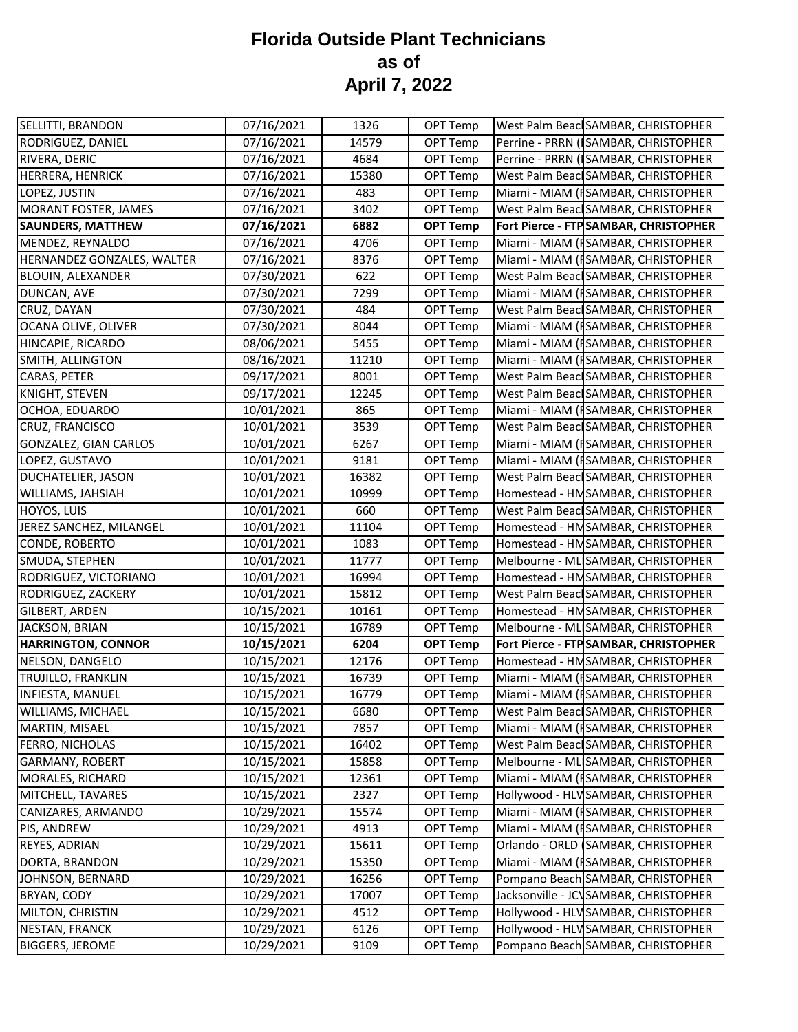| SELLITTI, BRANDON          | 07/16/2021 | 1326  | OPT Temp        | West Palm Beacl SAMBAR, CHRISTOPHER    |
|----------------------------|------------|-------|-----------------|----------------------------------------|
| RODRIGUEZ, DANIEL          | 07/16/2021 | 14579 | OPT Temp        | Perrine - PRRN (ISAMBAR, CHRISTOPHER   |
| RIVERA, DERIC              | 07/16/2021 | 4684  | OPT Temp        | Perrine - PRRN (ISAMBAR, CHRISTOPHER   |
| HERRERA, HENRICK           | 07/16/2021 | 15380 | OPT Temp        | West Palm Beacl SAMBAR, CHRISTOPHER    |
| LOPEZ, JUSTIN              | 07/16/2021 | 483   | OPT Temp        | Miami - MIAM (ISAMBAR, CHRISTOPHER     |
| MORANT FOSTER, JAMES       | 07/16/2021 | 3402  | OPT Temp        | West Palm Beacl SAMBAR, CHRISTOPHER    |
| <b>SAUNDERS, MATTHEW</b>   | 07/16/2021 | 6882  | <b>OPT Temp</b> | Fort Pierce - FTP SAMBAR, CHRISTOPHER  |
| MENDEZ, REYNALDO           | 07/16/2021 | 4706  | OPT Temp        | Miami - MIAM (ISAMBAR, CHRISTOPHER     |
| HERNANDEZ GONZALES, WALTER | 07/16/2021 | 8376  | OPT Temp        | Miami - MIAM (ISAMBAR, CHRISTOPHER     |
| <b>BLOUIN, ALEXANDER</b>   | 07/30/2021 | 622   | OPT Temp        | West Palm Beacl SAMBAR, CHRISTOPHER    |
| DUNCAN, AVE                | 07/30/2021 | 7299  | OPT Temp        | Miami - MIAM (ISAMBAR, CHRISTOPHER     |
| CRUZ, DAYAN                | 07/30/2021 | 484   | OPT Temp        | West Palm Beacl SAMBAR, CHRISTOPHER    |
| OCANA OLIVE, OLIVER        | 07/30/2021 | 8044  | OPT Temp        | Miami - MIAM (ISAMBAR, CHRISTOPHER     |
| HINCAPIE, RICARDO          | 08/06/2021 | 5455  | OPT Temp        | Miami - MIAM (ISAMBAR, CHRISTOPHER     |
| SMITH, ALLINGTON           | 08/16/2021 | 11210 | OPT Temp        | Miami - MIAM (ISAMBAR, CHRISTOPHER     |
| CARAS, PETER               | 09/17/2021 | 8001  | OPT Temp        | West Palm Beacl SAMBAR, CHRISTOPHER    |
| KNIGHT, STEVEN             | 09/17/2021 | 12245 | OPT Temp        | West Palm Beacl SAMBAR, CHRISTOPHER    |
| OCHOA, EDUARDO             | 10/01/2021 | 865   | OPT Temp        | Miami - MIAM (ISAMBAR, CHRISTOPHER     |
| CRUZ, FRANCISCO            | 10/01/2021 | 3539  | OPT Temp        | West Palm Beac SAMBAR, CHRISTOPHER     |
| GONZALEZ, GIAN CARLOS      | 10/01/2021 | 6267  | OPT Temp        | Miami - MIAM (ISAMBAR, CHRISTOPHER     |
| LOPEZ, GUSTAVO             | 10/01/2021 | 9181  | OPT Temp        | Miami - MIAM (ISAMBAR, CHRISTOPHER     |
| <b>DUCHATELIER, JASON</b>  | 10/01/2021 | 16382 | OPT Temp        | West Palm Beacl SAMBAR, CHRISTOPHER    |
| WILLIAMS, JAHSIAH          | 10/01/2021 | 10999 | OPT Temp        | Homestead - HMSAMBAR, CHRISTOPHER      |
| HOYOS, LUIS                | 10/01/2021 | 660   | OPT Temp        | West Palm Beacl SAMBAR, CHRISTOPHER    |
| JEREZ SANCHEZ, MILANGEL    | 10/01/2021 | 11104 | OPT Temp        | Homestead - HMSAMBAR, CHRISTOPHER      |
| CONDE, ROBERTO             | 10/01/2021 | 1083  | OPT Temp        | Homestead - HMSAMBAR, CHRISTOPHER      |
| SMUDA, STEPHEN             | 10/01/2021 | 11777 | OPT Temp        | Melbourne - ML SAMBAR, CHRISTOPHER     |
| RODRIGUEZ, VICTORIANO      | 10/01/2021 | 16994 | OPT Temp        | Homestead - HMSAMBAR, CHRISTOPHER      |
| RODRIGUEZ, ZACKERY         | 10/01/2021 | 15812 | OPT Temp        | West Palm Beacl SAMBAR, CHRISTOPHER    |
| <b>GILBERT, ARDEN</b>      | 10/15/2021 | 10161 | OPT Temp        | Homestead - HMSAMBAR, CHRISTOPHER      |
| JACKSON, BRIAN             | 10/15/2021 | 16789 | OPT Temp        | Melbourne - ML SAMBAR, CHRISTOPHER     |
| <b>HARRINGTON, CONNOR</b>  | 10/15/2021 | 6204  | <b>OPT Temp</b> | Fort Pierce - FTP SAMBAR, CHRISTOPHER  |
| NELSON, DANGELO            | 10/15/2021 | 12176 | OPT Temp        | Homestead - HM SAMBAR, CHRISTOPHER     |
| TRUJILLO, FRANKLIN         | 10/15/2021 | 16739 | OPT Temp        | Miami - MIAM (ISAMBAR, CHRISTOPHER     |
| INFIESTA, MANUEL           | 10/15/2021 | 16779 | OPT Temp        | Miami - MIAM (ISAMBAR, CHRISTOPHER     |
| WILLIAMS, MICHAEL          | 10/15/2021 | 6680  | OPT Temp        | West Palm Beac SAMBAR, CHRISTOPHER     |
| MARTIN, MISAEL             | 10/15/2021 | 7857  | OPT Temp        | Miami - MIAM (ISAMBAR, CHRISTOPHER     |
| FERRO, NICHOLAS            | 10/15/2021 | 16402 | OPT Temp        | West Palm Beacl SAMBAR, CHRISTOPHER    |
| <b>GARMANY, ROBERT</b>     | 10/15/2021 | 15858 | OPT Temp        | Melbourne - ML SAMBAR, CHRISTOPHER     |
| MORALES, RICHARD           | 10/15/2021 | 12361 | OPT Temp        | Miami - MIAM (ISAMBAR, CHRISTOPHER     |
| MITCHELL, TAVARES          | 10/15/2021 | 2327  | OPT Temp        | Hollywood - HLV SAMBAR, CHRISTOPHER    |
| CANIZARES, ARMANDO         | 10/29/2021 | 15574 | OPT Temp        | Miami - MIAM (ISAMBAR, CHRISTOPHER     |
| PIS, ANDREW                | 10/29/2021 | 4913  | OPT Temp        | Miami - MIAM (ISAMBAR, CHRISTOPHER     |
| <b>REYES, ADRIAN</b>       | 10/29/2021 | 15611 | OPT Temp        | Orlando - ORLD (SAMBAR, CHRISTOPHER    |
| DORTA, BRANDON             | 10/29/2021 | 15350 | OPT Temp        | Miami - MIAM (ISAMBAR, CHRISTOPHER     |
| JOHNSON, BERNARD           | 10/29/2021 | 16256 | OPT Temp        | Pompano Beach SAMBAR, CHRISTOPHER      |
| BRYAN, CODY                | 10/29/2021 | 17007 | OPT Temp        | Jacksonville - JCV SAMBAR, CHRISTOPHER |
| MILTON, CHRISTIN           | 10/29/2021 | 4512  | OPT Temp        | Hollywood - HLV SAMBAR, CHRISTOPHER    |
| <b>NESTAN, FRANCK</b>      | 10/29/2021 | 6126  | OPT Temp        | Hollywood - HLV SAMBAR, CHRISTOPHER    |
| <b>BIGGERS, JEROME</b>     | 10/29/2021 | 9109  | OPT Temp        | Pompano Beach SAMBAR, CHRISTOPHER      |